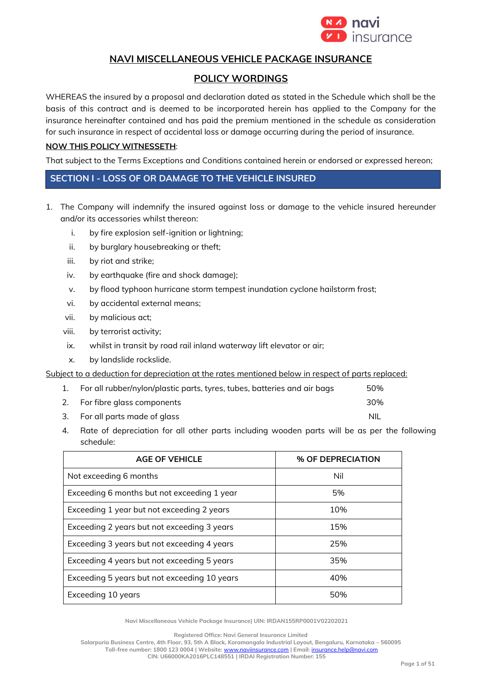

# **NAVI MISCELLANEOUS VEHICLE PACKAGE INSURANCE**

# **POLICY WORDINGS**

WHEREAS the insured by a proposal and declaration dated as stated in the Schedule which shall be the basis of this contract and is deemed to be incorporated herein has applied to the Company for the insurance hereinafter contained and has paid the premium mentioned in the schedule as consideration for such insurance in respect of accidental loss or damage occurring during the period of insurance.

### **NOW THIS POLICY WITNESSETH**:

That subject to the Terms Exceptions and Conditions contained herein or endorsed or expressed hereon;

## **SECTION I - LOSS OF OR DAMAGE TO THE VEHICLE INSURED**

- 1. The Company will indemnify the insured against loss or damage to the vehicle insured hereunder and/or its accessories whilst thereon:
	- i. by fire explosion self-ignition or lightning;
	- ii. by burglary housebreaking or theft;
	- iii. by riot and strike;
	- iv. by earthquake (fire and shock damage);
	- v. by flood typhoon hurricane storm tempest inundation cyclone hailstorm frost;
	- vi. by accidental external means;
	- vii. by malicious act;
	- viii. by terrorist activity;
	- ix. whilst in transit by road rail inland waterway lift elevator or air;
	- x. by landslide rockslide.

Subject to a deduction for depreciation at the rates mentioned below in respect of parts replaced:

|    | For all rubber/nylon/plastic parts, tyres, tubes, batteries and air bags | 50% |
|----|--------------------------------------------------------------------------|-----|
| 2. | For fibre glass components                                               | 30% |

- 3. For all parts made of glass and the set of the set of the set of the NIL
- 4. Rate of depreciation for all other parts including wooden parts will be as per the following schedule:

| <b>AGE OF VEHICLE</b>                        | % OF DEPRECIATION |
|----------------------------------------------|-------------------|
| Not exceeding 6 months                       | Nil               |
| Exceeding 6 months but not exceeding 1 year  | 5%                |
| Exceeding 1 year but not exceeding 2 years   | 10%               |
| Exceeding 2 years but not exceeding 3 years  | 15%               |
| Exceeding 3 years but not exceeding 4 years  | 25%               |
| Exceeding 4 years but not exceeding 5 years  | 35%               |
| Exceeding 5 years but not exceeding 10 years | 40%               |
| Exceeding 10 years                           | 50%               |

**Navi Miscellaneous Vehicle Package Insurance| UIN: IRDAN155RP0001V02202021**

**Registered Office: Navi General Insurance Limited**

**Salarpuria Business Centre, 4th Floor, 93, 5th A Block, Koramangala Industrial Layout, Bengaluru, Karnataka – 560095 Toll-free number: 1800 123 0004 | Website:** [www.naviinsurance.com](http://www.naviinsurance.com/) **| Email:** [insurance.help@navi.com](mailto:insurance.help@navi.com) **CIN: U66000KA2016PLC148551 | IRDAI Registration Number: 155**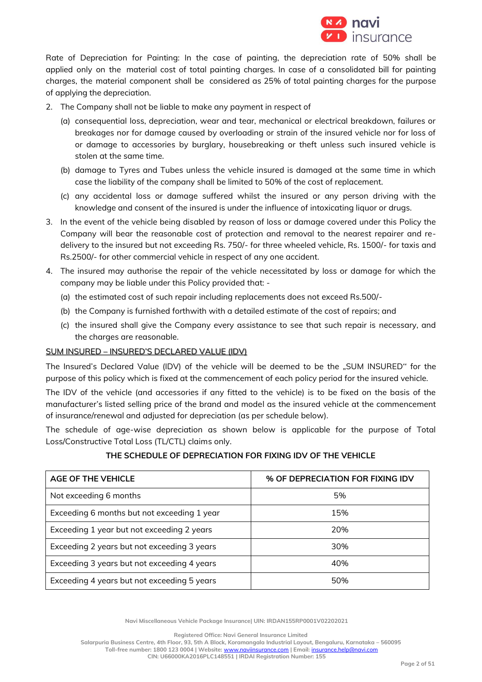

Rate of Depreciation for Painting: In the case of painting, the depreciation rate of 50% shall be applied only on the material cost of total painting charges. In case of a consolidated bill for painting charges, the material component shall be considered as 25% of total painting charges for the purpose of applying the depreciation.

- 2. The Company shall not be liable to make any payment in respect of
	- (a) consequential loss, depreciation, wear and tear, mechanical or electrical breakdown, failures or breakages nor for damage caused by overloading or strain of the insured vehicle nor for loss of or damage to accessories by burglary, housebreaking or theft unless such insured vehicle is stolen at the same time.
	- (b) damage to Tyres and Tubes unless the vehicle insured is damaged at the same time in which case the liability of the company shall be limited to 50% of the cost of replacement.
	- (c) any accidental loss or damage suffered whilst the insured or any person driving with the knowledge and consent of the insured is under the influence of intoxicating liquor or drugs.
- 3. In the event of the vehicle being disabled by reason of loss or damage covered under this Policy the Company will bear the reasonable cost of protection and removal to the nearest repairer and redelivery to the insured but not exceeding Rs. 750/- for three wheeled vehicle, Rs. 1500/- for taxis and Rs.2500/- for other commercial vehicle in respect of any one accident.
- 4. The insured may authorise the repair of the vehicle necessitated by loss or damage for which the company may be liable under this Policy provided that: -
	- (a) the estimated cost of such repair including replacements does not exceed Rs.500/-
	- (b) the Company is furnished forthwith with a detailed estimate of the cost of repairs; and
	- (c) the insured shall give the Company every assistance to see that such repair is necessary, and the charges are reasonable.

## SUM INSURED – INSURED'S DECLARED VALUE (IDV)

The Insured's Declared Value (IDV) of the vehicle will be deemed to be the "SUM INSURED" for the purpose of this policy which is fixed at the commencement of each policy period for the insured vehicle.

The IDV of the vehicle (and accessories if any fitted to the vehicle) is to be fixed on the basis of the manufacturer's listed selling price of the brand and model as the insured vehicle at the commencement of insurance/renewal and adjusted for depreciation (as per schedule below).

The schedule of age-wise depreciation as shown below is applicable for the purpose of Total Loss/Constructive Total Loss (TL/CTL) claims only.

## **THE SCHEDULE OF DEPRECIATION FOR FIXING IDV OF THE VEHICLE**

| <b>AGE OF THE VEHICLE</b>                   | % OF DEPRECIATION FOR FIXING IDV |
|---------------------------------------------|----------------------------------|
| Not exceeding 6 months                      | 5%                               |
| Exceeding 6 months but not exceeding 1 year | 15%                              |
| Exceeding 1 year but not exceeding 2 years  | 20%                              |
| Exceeding 2 years but not exceeding 3 years | 30%                              |
| Exceeding 3 years but not exceeding 4 years | 40%                              |
| Exceeding 4 years but not exceeding 5 years | 50%                              |

**Navi Miscellaneous Vehicle Package Insurance| UIN: IRDAN155RP0001V02202021**

**Registered Office: Navi General Insurance Limited**

**Salarpuria Business Centre, 4th Floor, 93, 5th A Block, Koramangala Industrial Layout, Bengaluru, Karnataka – 560095 Toll-free number: 1800 123 0004 | Website:** [www.naviinsurance.com](http://www.naviinsurance.com/) **| Email:** [insurance.help@navi.com](mailto:insurance.help@navi.com)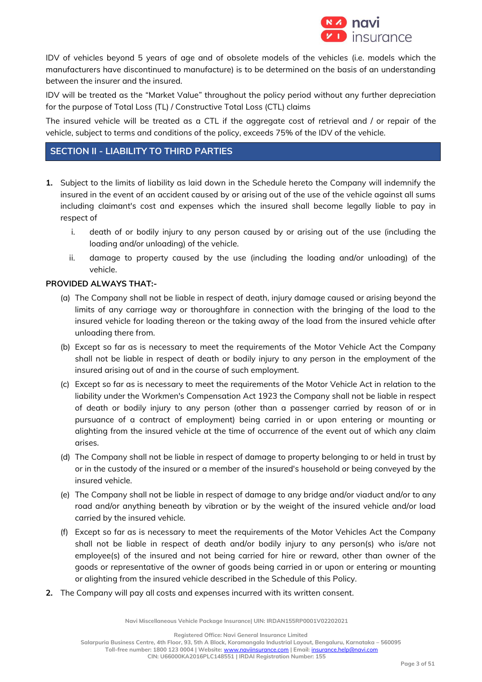

IDV of vehicles beyond 5 years of age and of obsolete models of the vehicles (i.e. models which the manufacturers have discontinued to manufacture) is to be determined on the basis of an understanding between the insurer and the insured.

IDV will be treated as the "Market Value" throughout the policy period without any further depreciation for the purpose of Total Loss (TL) / Constructive Total Loss (CTL) claims

The insured vehicle will be treated as a CTL if the aggregate cost of retrieval and / or repair of the vehicle, subject to terms and conditions of the policy, exceeds 75% of the IDV of the vehicle.

# **SECTION II - LIABILITY TO THIRD PARTIES**

- **1.** Subject to the limits of liability as laid down in the Schedule hereto the Company will indemnify the insured in the event of an accident caused by or arising out of the use of the vehicle against all sums including claimant's cost and expenses which the insured shall become legally liable to pay in respect of
	- i. death of or bodily injury to any person caused by or arising out of the use (including the loading and/or unloading) of the vehicle.
	- ii. damage to property caused by the use (including the loading and/or unloading) of the vehicle.

## **PROVIDED ALWAYS THAT:-**

- (a) The Company shall not be liable in respect of death, injury damage caused or arising beyond the limits of any carriage way or thoroughfare in connection with the bringing of the load to the insured vehicle for loading thereon or the taking away of the load from the insured vehicle after unloading there from.
- (b) Except so far as is necessary to meet the requirements of the Motor Vehicle Act the Company shall not be liable in respect of death or bodily injury to any person in the employment of the insured arising out of and in the course of such employment.
- (c) Except so far as is necessary to meet the requirements of the Motor Vehicle Act in relation to the liability under the Workmen's Compensation Act 1923 the Company shall not be liable in respect of death or bodily injury to any person (other than a passenger carried by reason of or in pursuance of a contract of employment) being carried in or upon entering or mounting or alighting from the insured vehicle at the time of occurrence of the event out of which any claim arises.
- (d) The Company shall not be liable in respect of damage to property belonging to or held in trust by or in the custody of the insured or a member of the insured's household or being conveyed by the insured vehicle.
- (e) The Company shall not be liable in respect of damage to any bridge and/or viaduct and/or to any road and/or anything beneath by vibration or by the weight of the insured vehicle and/or load carried by the insured vehicle.
- (f) Except so far as is necessary to meet the requirements of the Motor Vehicles Act the Company shall not be liable in respect of death and/or bodily injury to any person(s) who is/are not employee(s) of the insured and not being carried for hire or reward, other than owner of the goods or representative of the owner of goods being carried in or upon or entering or mounting or alighting from the insured vehicle described in the Schedule of this Policy.
- **2.** The Company will pay all costs and expenses incurred with its written consent.

**Navi Miscellaneous Vehicle Package Insurance| UIN: IRDAN155RP0001V02202021**

**Registered Office: Navi General Insurance Limited Salarpuria Business Centre, 4th Floor, 93, 5th A Block, Koramangala Industrial Layout, Bengaluru, Karnataka – 560095 Toll-free number: 1800 123 0004 | Website:** [www.naviinsurance.com](http://www.naviinsurance.com/) **| Email:** [insurance.help@navi.com](mailto:insurance.help@navi.com) **CIN: U66000KA2016PLC148551 | IRDAI Registration Number: 155**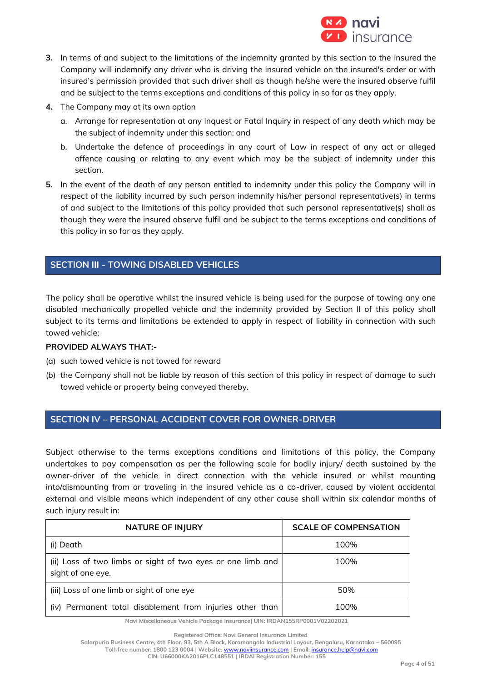

- **3.** In terms of and subject to the limitations of the indemnity granted by this section to the insured the Company will indemnify any driver who is driving the insured vehicle on the insured's order or with insured's permission provided that such driver shall as though he/she were the insured observe fulfil and be subject to the terms exceptions and conditions of this policy in so far as they apply.
- **4.** The Company may at its own option
	- a. Arrange for representation at any Inquest or Fatal Inquiry in respect of any death which may be the subject of indemnity under this section; and
	- b. Undertake the defence of proceedings in any court of Law in respect of any act or alleged offence causing or relating to any event which may be the subject of indemnity under this section.
- **5.** In the event of the death of any person entitled to indemnity under this policy the Company will in respect of the liability incurred by such person indemnify his/her personal representative(s) in terms of and subject to the limitations of this policy provided that such personal representative(s) shall as though they were the insured observe fulfil and be subject to the terms exceptions and conditions of this policy in so far as they apply.

# **SECTION III - TOWING DISABLED VEHICLES**

The policy shall be operative whilst the insured vehicle is being used for the purpose of towing any one disabled mechanically propelled vehicle and the indemnity provided by Section II of this policy shall subject to its terms and limitations be extended to apply in respect of liability in connection with such towed vehicle;

## **PROVIDED ALWAYS THAT:-**

- (a) such towed vehicle is not towed for reward
- (b) the Company shall not be liable by reason of this section of this policy in respect of damage to such towed vehicle or property being conveyed thereby.

## **SECTION IV – PERSONAL ACCIDENT COVER FOR OWNER-DRIVER**

Subject otherwise to the terms exceptions conditions and limitations of this policy, the Company undertakes to pay compensation as per the following scale for bodily injury/ death sustained by the owner-driver of the vehicle in direct connection with the vehicle insured or whilst mounting into/dismounting from or traveling in the insured vehicle as a co-driver, caused by violent accidental external and visible means which independent of any other cause shall within six calendar months of such injury result in:

| <b>NATURE OF INJURY</b>                                                          | <b>SCALE OF COMPENSATION</b> |
|----------------------------------------------------------------------------------|------------------------------|
| (i) Death                                                                        | 100%                         |
| (ii) Loss of two limbs or sight of two eyes or one limb and<br>sight of one eye. | 100%                         |
| (iii) Loss of one limb or sight of one eye                                       | 50%                          |
| (iv) Permanent total disablement from injuries other than                        | 100%                         |

**Navi Miscellaneous Vehicle Package Insurance| UIN: IRDAN155RP0001V02202021**

**Toll-free number: 1800 123 0004 | Website:** [www.naviinsurance.com](http://www.naviinsurance.com/) **| Email:** [insurance.help@navi.com](mailto:insurance.help@navi.com) **CIN: U66000KA2016PLC148551 | IRDAI Registration Number: 155**

**Registered Office: Navi General Insurance Limited**

**Salarpuria Business Centre, 4th Floor, 93, 5th A Block, Koramangala Industrial Layout, Bengaluru, Karnataka – 560095**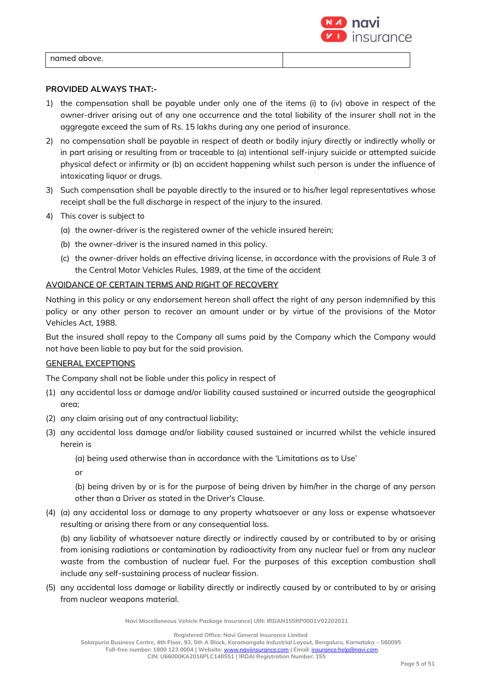

named above.

## **PROVIDED ALWAYS THAT:-**

- 1) the compensation shall be payable under only one of the items (i) to (iv) above in respect of the owner-driver arising out of any one occurrence and the total liability of the insurer shall not in the aggregate exceed the sum of Rs. 15 lakhs during any one period of insurance.
- 2) no compensation shall be payable in respect of death or bodily injury directly or indirectly wholly or in part arising or resulting from or traceable to (a) intentional self-injury suicide or attempted suicide physical defect or infirmity or (b) an accident happening whilst such person is under the influence of intoxicating liquor or drugs.
- 3) Such compensation shall be payable directly to the insured or to his/her legal representatives whose receipt shall be the full discharge in respect of the injury to the insured.
- 4) This cover is subject to
	- (a) the owner-driver is the registered owner of the vehicle insured herein;
	- (b) the owner-driver is the insured named in this policy.
	- (c) the owner-driver holds an effective driving license, in accordance with the provisions of Rule 3 of the Central Motor Vehicles Rules, 1989, at the time of the accident

## AVOIDANCE OF CERTAIN TERMS AND RIGHT OF RECOVERY

Nothing in this policy or any endorsement hereon shall affect the right of any person indemnified by this policy or any other person to recover an amount under or by virtue of the provisions of the Motor Vehicles Act, 1988.

But the insured shall repay to the Company all sums paid by the Company which the Company would not have been liable to pay but for the said provision.

## GENERAL EXCEPTIONS

The Company shall not be liable under this policy in respect of

- (1) any accidental loss or damage and/or liability caused sustained or incurred outside the geographical area;
- (2) any claim arising out of any contractual liability;
- (3) any accidental loss damage and/or liability caused sustained or incurred whilst the vehicle insured herein is

(a) being used otherwise than in accordance with the 'Limitations as to Use'

or

(b) being driven by or is for the purpose of being driven by him/her in the charge of any person other than a Driver as stated in the Driver's Clause.

(4) (a) any accidental loss or damage to any property whatsoever or any loss or expense whatsoever resulting or arising there from or any consequential loss.

(b) any liability of whatsoever nature directly or indirectly caused by or contributed to by or arising from ionising radiations or contamination by radioactivity from any nuclear fuel or from any nuclear waste from the combustion of nuclear fuel. For the purposes of this exception combustion shall include any self-sustaining process of nuclear fission.

(5) any accidental loss damage or liability directly or indirectly caused by or contributed to by or arising from nuclear weapons material.

**Navi Miscellaneous Vehicle Package Insurance| UIN: IRDAN155RP0001V02202021**

**Registered Office: Navi General Insurance Limited**

**Salarpuria Business Centre, 4th Floor, 93, 5th A Block, Koramangala Industrial Layout, Bengaluru, Karnataka – 560095 Toll-free number: 1800 123 0004 | Website:** [www.naviinsurance.com](http://www.naviinsurance.com/) **| Email:** [insurance.help@navi.com](mailto:insurance.help@navi.com)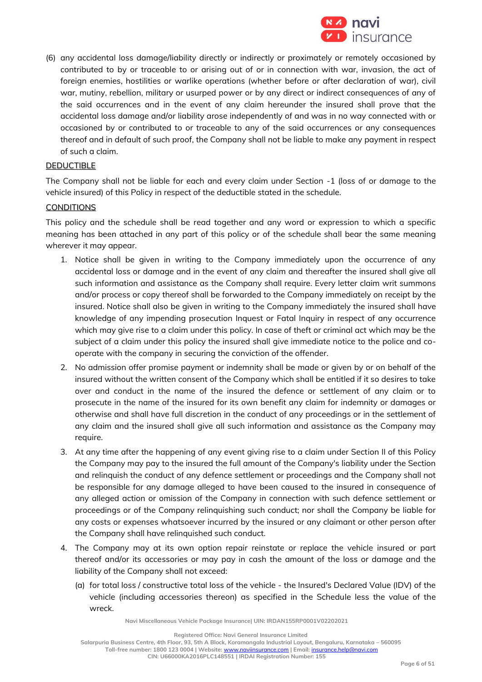

(6) any accidental loss damage/liability directly or indirectly or proximately or remotely occasioned by contributed to by or traceable to or arising out of or in connection with war, invasion, the act of foreign enemies, hostilities or warlike operations (whether before or after declaration of war), civil war, mutiny, rebellion, military or usurped power or by any direct or indirect consequences of any of the said occurrences and in the event of any claim hereunder the insured shall prove that the accidental loss damage and/or liability arose independently of and was in no way connected with or occasioned by or contributed to or traceable to any of the said occurrences or any consequences thereof and in default of such proof, the Company shall not be liable to make any payment in respect of such a claim.

### DEDUCTIBLE

The Company shall not be liable for each and every claim under Section -1 (loss of or damage to the vehicle insured) of this Policy in respect of the deductible stated in the schedule.

### CONDITIONS

This policy and the schedule shall be read together and any word or expression to which a specific meaning has been attached in any part of this policy or of the schedule shall bear the same meaning wherever it may appear.

- 1. Notice shall be given in writing to the Company immediately upon the occurrence of any accidental loss or damage and in the event of any claim and thereafter the insured shall give all such information and assistance as the Company shall require. Every letter claim writ summons and/or process or copy thereof shall be forwarded to the Company immediately on receipt by the insured. Notice shall also be given in writing to the Company immediately the insured shall have knowledge of any impending prosecution Inquest or Fatal Inquiry in respect of any occurrence which may give rise to a claim under this policy. In case of theft or criminal act which may be the subject of a claim under this policy the insured shall give immediate notice to the police and cooperate with the company in securing the conviction of the offender.
- 2. No admission offer promise payment or indemnity shall be made or given by or on behalf of the insured without the written consent of the Company which shall be entitled if it so desires to take over and conduct in the name of the insured the defence or settlement of any claim or to prosecute in the name of the insured for its own benefit any claim for indemnity or damages or otherwise and shall have full discretion in the conduct of any proceedings or in the settlement of any claim and the insured shall give all such information and assistance as the Company may require.
- 3. At any time after the happening of any event giving rise to a claim under Section II of this Policy the Company may pay to the insured the full amount of the Company's liability under the Section and relinquish the conduct of any defence settlement or proceedings and the Company shall not be responsible for any damage alleged to have been caused to the insured in consequence of any alleged action or omission of the Company in connection with such defence settlement or proceedings or of the Company relinquishing such conduct; nor shall the Company be liable for any costs or expenses whatsoever incurred by the insured or any claimant or other person after the Company shall have relinquished such conduct.
- 4. The Company may at its own option repair reinstate or replace the vehicle insured or part thereof and/or its accessories or may pay in cash the amount of the loss or damage and the liability of the Company shall not exceed:
	- (a) for total loss / constructive total loss of the vehicle the Insured's Declared Value (IDV) of the vehicle (including accessories thereon) as specified in the Schedule less the value of the wreck.

**Navi Miscellaneous Vehicle Package Insurance| UIN: IRDAN155RP0001V02202021**

**Registered Office: Navi General Insurance Limited**

**Salarpuria Business Centre, 4th Floor, 93, 5th A Block, Koramangala Industrial Layout, Bengaluru, Karnataka – 560095 Toll-free number: 1800 123 0004 | Website:** [www.naviinsurance.com](http://www.naviinsurance.com/) **| Email:** [insurance.help@navi.com](mailto:insurance.help@navi.com) **CIN: U66000KA2016PLC148551 | IRDAI Registration Number: 155**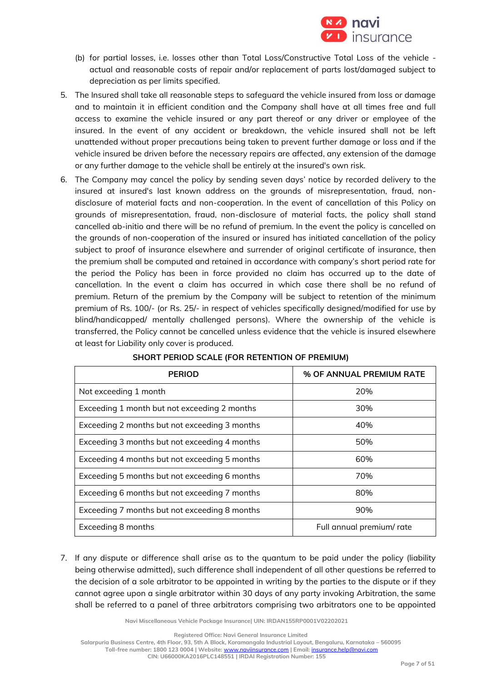

- (b) for partial losses, i.e. losses other than Total Loss/Constructive Total Loss of the vehicle actual and reasonable costs of repair and/or replacement of parts lost/damaged subject to depreciation as per limits specified.
- 5. The Insured shall take all reasonable steps to safeguard the vehicle insured from loss or damage and to maintain it in efficient condition and the Company shall have at all times free and full access to examine the vehicle insured or any part thereof or any driver or employee of the insured. In the event of any accident or breakdown, the vehicle insured shall not be left unattended without proper precautions being taken to prevent further damage or loss and if the vehicle insured be driven before the necessary repairs are affected, any extension of the damage or any further damage to the vehicle shall be entirely at the insured's own risk.
- 6. The Company may cancel the policy by sending seven days' notice by recorded delivery to the insured at insured's last known address on the grounds of misrepresentation, fraud, nondisclosure of material facts and non-cooperation. In the event of cancellation of this Policy on grounds of misrepresentation, fraud, non-disclosure of material facts, the policy shall stand cancelled ab-initio and there will be no refund of premium. In the event the policy is cancelled on the grounds of non-cooperation of the insured or insured has initiated cancellation of the policy subject to proof of insurance elsewhere and surrender of original certificate of insurance, then the premium shall be computed and retained in accordance with company's short period rate for the period the Policy has been in force provided no claim has occurred up to the date of cancellation. In the event a claim has occurred in which case there shall be no refund of premium. Return of the premium by the Company will be subject to retention of the minimum premium of Rs. 100/- (or Rs. 25/- in respect of vehicles specifically designed/modified for use by blind/handicapped/ mentally challenged persons). Where the ownership of the vehicle is transferred, the Policy cannot be cancelled unless evidence that the vehicle is insured elsewhere at least for Liability only cover is produced.

| <b>PERIOD</b>                                 | % OF ANNUAL PREMIUM RATE |
|-----------------------------------------------|--------------------------|
| Not exceeding 1 month                         | 20%                      |
| Exceeding 1 month but not exceeding 2 months  | 30%                      |
| Exceeding 2 months but not exceeding 3 months | 40%                      |
| Exceeding 3 months but not exceeding 4 months | 50%                      |
| Exceeding 4 months but not exceeding 5 months | 60%                      |
| Exceeding 5 months but not exceeding 6 months | 70%                      |
| Exceeding 6 months but not exceeding 7 months | 80%                      |
| Exceeding 7 months but not exceeding 8 months | 90%                      |
| Exceeding 8 months                            | Full annual premium/rate |

## **SHORT PERIOD SCALE (FOR RETENTION OF PREMIUM)**

7. If any dispute or difference shall arise as to the quantum to be paid under the policy (liability being otherwise admitted), such difference shall independent of all other questions be referred to the decision of a sole arbitrator to be appointed in writing by the parties to the dispute or if they cannot agree upon a single arbitrator within 30 days of any party invoking Arbitration, the same shall be referred to a panel of three arbitrators comprising two arbitrators one to be appointed

**Navi Miscellaneous Vehicle Package Insurance| UIN: IRDAN155RP0001V02202021**

**Registered Office: Navi General Insurance Limited**

**Salarpuria Business Centre, 4th Floor, 93, 5th A Block, Koramangala Industrial Layout, Bengaluru, Karnataka – 560095**

**Toll-free number: 1800 123 0004 | Website:** [www.naviinsurance.com](http://www.naviinsurance.com/) **| Email:** [insurance.help@navi.com](mailto:insurance.help@navi.com)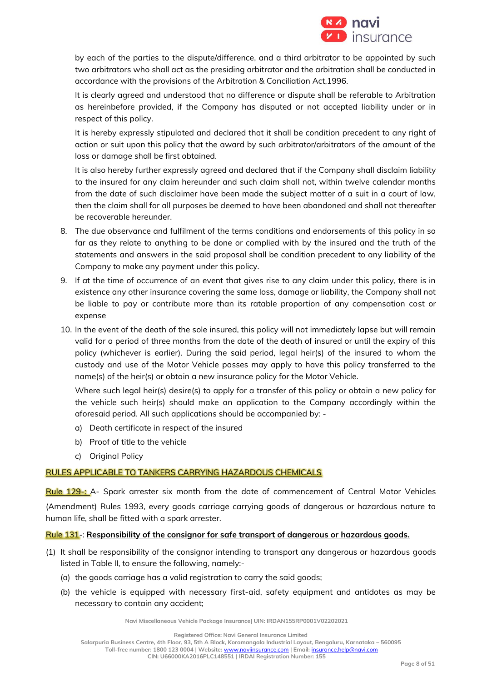

by each of the parties to the dispute/difference, and a third arbitrator to be appointed by such two arbitrators who shall act as the presiding arbitrator and the arbitration shall be conducted in accordance with the provisions of the Arbitration & Conciliation Act,1996.

It is clearly agreed and understood that no difference or dispute shall be referable to Arbitration as hereinbefore provided, if the Company has disputed or not accepted liability under or in respect of this policy.

It is hereby expressly stipulated and declared that it shall be condition precedent to any right of action or suit upon this policy that the award by such arbitrator/arbitrators of the amount of the loss or damage shall be first obtained.

It is also hereby further expressly agreed and declared that if the Company shall disclaim liability to the insured for any claim hereunder and such claim shall not, within twelve calendar months from the date of such disclaimer have been made the subject matter of a suit in a court of law, then the claim shall for all purposes be deemed to have been abandoned and shall not thereafter be recoverable hereunder.

- 8. The due observance and fulfilment of the terms conditions and endorsements of this policy in so far as they relate to anything to be done or complied with by the insured and the truth of the statements and answers in the said proposal shall be condition precedent to any liability of the Company to make any payment under this policy.
- 9. If at the time of occurrence of an event that gives rise to any claim under this policy, there is in existence any other insurance covering the same loss, damage or liability, the Company shall not be liable to pay or contribute more than its ratable proportion of any compensation cost or expense
- 10. In the event of the death of the sole insured, this policy will not immediately lapse but will remain valid for a period of three months from the date of the death of insured or until the expiry of this policy (whichever is earlier). During the said period, legal heir(s) of the insured to whom the custody and use of the Motor Vehicle passes may apply to have this policy transferred to the name(s) of the heir(s) or obtain a new insurance policy for the Motor Vehicle.

Where such legal heir(s) desire(s) to apply for a transfer of this policy or obtain a new policy for the vehicle such heir(s) should make an application to the Company accordingly within the aforesaid period. All such applications should be accompanied by: -

- a) Death certificate in respect of the insured
- b) Proof of title to the vehicle
- c) Original Policy

## RULES APPLICABLE TO TANKERS CARRYING HAZARDOUS CHEMICALS

Rule 129-: A- Spark arrester six month from the date of commencement of Central Motor Vehicles (Amendment) Rules 1993, every goods carriage carrying goods of dangerous or hazardous nature to human life, shall be fitted with a spark arrester.

## Rule 131-: **Responsibility of the consignor for safe transport of dangerous or hazardous goods.**

- (1) It shall be responsibility of the consignor intending to transport any dangerous or hazardous goods listed in Table II, to ensure the following, namely:-
	- (a) the goods carriage has a valid registration to carry the said goods;
	- (b) the vehicle is equipped with necessary first-aid, safety equipment and antidotes as may be necessary to contain any accident;

**Navi Miscellaneous Vehicle Package Insurance| UIN: IRDAN155RP0001V02202021**

**Registered Office: Navi General Insurance Limited**

**Salarpuria Business Centre, 4th Floor, 93, 5th A Block, Koramangala Industrial Layout, Bengaluru, Karnataka – 560095**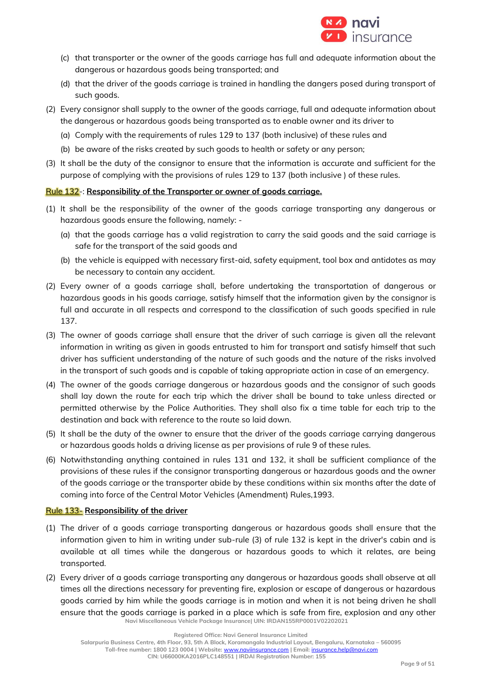

- (c) that transporter or the owner of the goods carriage has full and adequate information about the dangerous or hazardous goods being transported; and
- (d) that the driver of the goods carriage is trained in handling the dangers posed during transport of such goods.
- (2) Every consignor shall supply to the owner of the goods carriage, full and adequate information about the dangerous or hazardous goods being transported as to enable owner and its driver to
	- (a) Comply with the requirements of rules 129 to 137 (both inclusive) of these rules and
	- (b) be aware of the risks created by such goods to health or safety or any person;
- (3) It shall be the duty of the consignor to ensure that the information is accurate and sufficient for the purpose of complying with the provisions of rules 129 to 137 (both inclusive ) of these rules.

## Rule 132-: **Responsibility of the Transporter or owner of goods carriage.**

- (1) It shall be the responsibility of the owner of the goods carriage transporting any dangerous or hazardous goods ensure the following, namely: -
	- (a) that the goods carriage has a valid registration to carry the said goods and the said carriage is safe for the transport of the said goods and
	- (b) the vehicle is equipped with necessary first-aid, safety equipment, tool box and antidotes as may be necessary to contain any accident.
- (2) Every owner of a goods carriage shall, before undertaking the transportation of dangerous or hazardous goods in his goods carriage, satisfy himself that the information given by the consignor is full and accurate in all respects and correspond to the classification of such goods specified in rule 137.
- (3) The owner of goods carriage shall ensure that the driver of such carriage is given all the relevant information in writing as given in goods entrusted to him for transport and satisfy himself that such driver has sufficient understanding of the nature of such goods and the nature of the risks involved in the transport of such goods and is capable of taking appropriate action in case of an emergency.
- (4) The owner of the goods carriage dangerous or hazardous goods and the consignor of such goods shall lay down the route for each trip which the driver shall be bound to take unless directed or permitted otherwise by the Police Authorities. They shall also fix a time table for each trip to the destination and back with reference to the route so laid down.
- (5) It shall be the duty of the owner to ensure that the driver of the goods carriage carrying dangerous or hazardous goods holds a driving license as per provisions of rule 9 of these rules.
- (6) Notwithstanding anything contained in rules 131 and 132, it shall be sufficient compliance of the provisions of these rules if the consignor transporting dangerous or hazardous goods and the owner of the goods carriage or the transporter abide by these conditions within six months after the date of coming into force of the Central Motor Vehicles (Amendment) Rules,1993.

## Rule 133- **Responsibility of the driver**

- (1) The driver of a goods carriage transporting dangerous or hazardous goods shall ensure that the information given to him in writing under sub-rule (3) of rule 132 is kept in the driver's cabin and is available at all times while the dangerous or hazardous goods to which it relates, are being transported.
- **Navi Miscellaneous Vehicle Package Insurance| UIN: IRDAN155RP0001V02202021** (2) Every driver of a goods carriage transporting any dangerous or hazardous goods shall observe at all times all the directions necessary for preventing fire, explosion or escape of dangerous or hazardous goods carried by him while the goods carriage is in motion and when it is not being driven he shall ensure that the goods carriage is parked in a place which is safe from fire, explosion and any other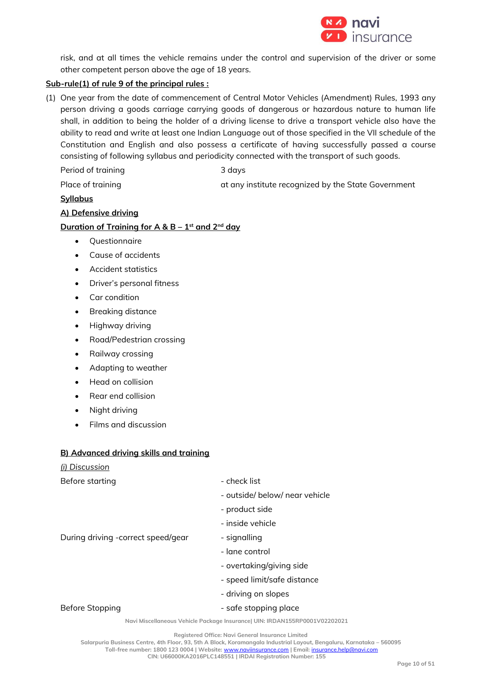

risk, and at all times the vehicle remains under the control and supervision of the driver or some other competent person above the age of 18 years.

## **Sub-rule(1) of rule 9 of the principal rules :**

(1) One year from the date of commencement of Central Motor Vehicles (Amendment) Rules, 1993 any person driving a goods carriage carrying goods of dangerous or hazardous nature to human life shall, in addition to being the holder of a driving license to drive a transport vehicle also have the ability to read and write at least one Indian Language out of those specified in the VII schedule of the Constitution and English and also possess a certificate of having successfully passed a course consisting of following syllabus and periodicity connected with the transport of such goods.

Period of training and a series of the 3 days

Place of training at any institute recognized by the State Government

## **Syllabus**

## **A) Defensive driving**

## **Duration of Training for A & B – 1 st and 2nd day**

- Questionnaire
- Cause of accidents
- Accident statistics
- Driver's personal fitness
- Car condition
- Breaking distance
- Highway driving
- Road/Pedestrian crossing
- Railway crossing
- Adapting to weather
- Head on collision
- Rear end collision
- Night driving
- Films and discussion

## **B) Advanced driving skills and training**

| (i) Discussion |  |
|----------------|--|
|                |  |

| Before starting                    | - check list                   |  |  |
|------------------------------------|--------------------------------|--|--|
|                                    | - outside/ below/ near vehicle |  |  |
|                                    | - product side                 |  |  |
|                                    | - inside vehicle               |  |  |
| During driving -correct speed/gear | - signalling                   |  |  |
|                                    | - lane control                 |  |  |
|                                    | - overtaking/giving side       |  |  |
|                                    | - speed limit/safe distance    |  |  |
|                                    | - driving on slopes            |  |  |
| Before Stopping                    | - safe stopping place          |  |  |

#### **Navi Miscellaneous Vehicle Package Insurance| UIN: IRDAN155RP0001V02202021**

**Registered Office: Navi General Insurance Limited**

**Salarpuria Business Centre, 4th Floor, 93, 5th A Block, Koramangala Industrial Layout, Bengaluru, Karnataka – 560095**

**Toll-free number: 1800 123 0004 | Website:** [www.naviinsurance.com](http://www.naviinsurance.com/) **| Email:** [insurance.help@navi.com](mailto:insurance.help@navi.com) **CIN: U66000KA2016PLC148551 | IRDAI Registration Number: 155**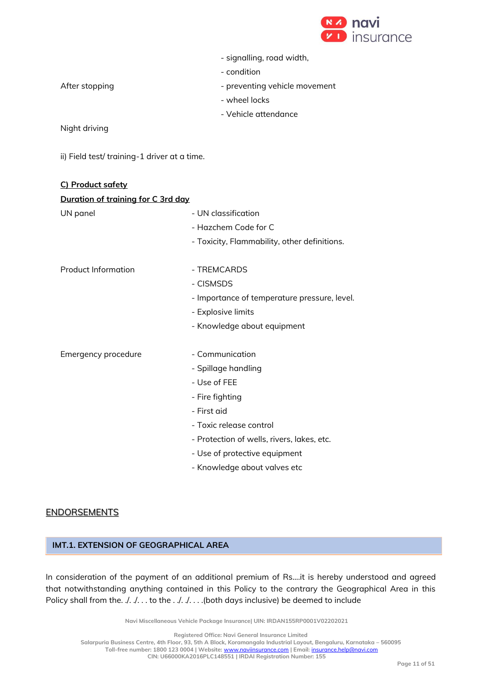

- condition

After stopping example and the preventing vehicle movement

- wheel locks
- Vehicle attendance

Night driving

ii) Field test/ training-1 driver at a time.

| C) Product safety                  |                                              |  |  |
|------------------------------------|----------------------------------------------|--|--|
| Duration of training for C 3rd day |                                              |  |  |
| UN panel                           | - UN classification                          |  |  |
|                                    | - Hazchem Code for C                         |  |  |
|                                    | - Toxicity, Flammability, other definitions. |  |  |
| <b>Product Information</b>         | - TREMCARDS                                  |  |  |
|                                    | - CISMSDS                                    |  |  |
|                                    | - Importance of temperature pressure, level. |  |  |
|                                    | - Explosive limits                           |  |  |
|                                    | - Knowledge about equipment                  |  |  |
| Emergency procedure                | - Communication                              |  |  |
|                                    | - Spillage handling                          |  |  |
|                                    | - Use of FEE                                 |  |  |
|                                    | - Fire fighting                              |  |  |
|                                    | - First aid                                  |  |  |
|                                    | - Toxic release control                      |  |  |
|                                    | - Protection of wells, rivers, lakes, etc.   |  |  |
|                                    | - Use of protective equipment                |  |  |
|                                    | - Knowledge about valves etc                 |  |  |

## **ENDORSEMENTS**

## **IMT.1. EXTENSION OF GEOGRAPHICAL AREA**

In consideration of the payment of an additional premium of Rs....it is hereby understood and agreed that notwithstanding anything contained in this Policy to the contrary the Geographical Area in this Policy shall from the. ./. ./. .. to the ... ./. ... . (both days inclusive) be deemed to include

**Navi Miscellaneous Vehicle Package Insurance| UIN: IRDAN155RP0001V02202021**

**Registered Office: Navi General Insurance Limited**

**Salarpuria Business Centre, 4th Floor, 93, 5th A Block, Koramangala Industrial Layout, Bengaluru, Karnataka – 560095**

**Toll-free number: 1800 123 0004 | Website:** [www.naviinsurance.com](http://www.naviinsurance.com/) **| Email:** [insurance.help@navi.com](mailto:insurance.help@navi.com)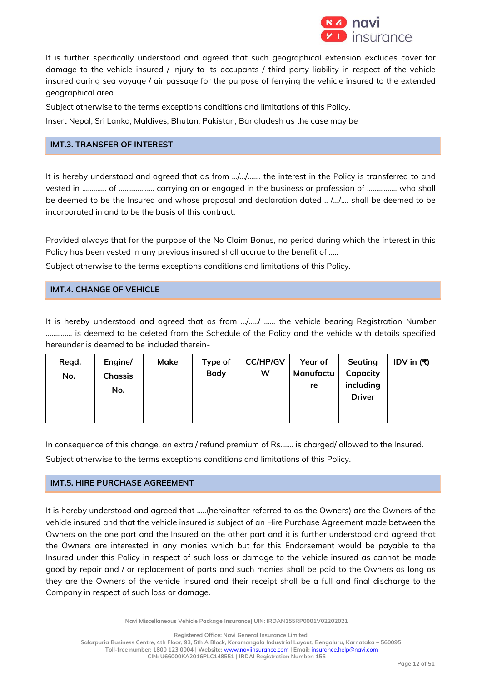

It is further specifically understood and agreed that such geographical extension excludes cover for damage to the vehicle insured / injury to its occupants / third party liability in respect of the vehicle insured during sea voyage / air passage for the purpose of ferrying the vehicle insured to the extended geographical area.

Subject otherwise to the terms exceptions conditions and limitations of this Policy.

Insert Nepal, Sri Lanka, Maldives, Bhutan, Pakistan, Bangladesh as the case may be

## **IMT.3. TRANSFER OF INTEREST**

It is hereby understood and agreed that as from …/…/……. the interest in the Policy is transferred to and vested in ……….... of ………………. carrying on or engaged in the business or profession of ……………. who shall be deemed to be the Insured and whose proposal and declaration dated .. /…/…. shall be deemed to be incorporated in and to be the basis of this contract.

Provided always that for the purpose of the No Claim Bonus, no period during which the interest in this Policy has been vested in any previous insured shall accrue to the benefit of .....

Subject otherwise to the terms exceptions conditions and limitations of this Policy.

# **IMT.4. CHANGE OF VEHICLE**

It is hereby understood and agreed that as from …/…../ …... the vehicle bearing Registration Number ………….. is deemed to be deleted from the Schedule of the Policy and the vehicle with details specified hereunder is deemed to be included therein-

| Regd. | Engine/        | Make | Type of     | <b>CC/HP/GV</b> | Year of   | Seating       | IDV in $( ₹)$ |
|-------|----------------|------|-------------|-----------------|-----------|---------------|---------------|
| No.   | <b>Chassis</b> |      | <b>Body</b> | W               | Manufactu | Capacity      |               |
|       | No.            |      |             |                 | re        | including     |               |
|       |                |      |             |                 |           | <b>Driver</b> |               |
|       |                |      |             |                 |           |               |               |
|       |                |      |             |                 |           |               |               |

In consequence of this change, an extra / refund premium of Rs....... is charged/ allowed to the Insured. Subject otherwise to the terms exceptions conditions and limitations of this Policy.

## **IMT.5. HIRE PURCHASE AGREEMENT**

It is hereby understood and agreed that …..(hereinafter referred to as the Owners) are the Owners of the vehicle insured and that the vehicle insured is subject of an Hire Purchase Agreement made between the Owners on the one part and the Insured on the other part and it is further understood and agreed that the Owners are interested in any monies which but for this Endorsement would be payable to the Insured under this Policy in respect of such loss or damage to the vehicle insured as cannot be made good by repair and / or replacement of parts and such monies shall be paid to the Owners as long as they are the Owners of the vehicle insured and their receipt shall be a full and final discharge to the Company in respect of such loss or damage.

**Navi Miscellaneous Vehicle Package Insurance| UIN: IRDAN155RP0001V02202021**

**Registered Office: Navi General Insurance Limited Salarpuria Business Centre, 4th Floor, 93, 5th A Block, Koramangala Industrial Layout, Bengaluru, Karnataka – 560095 Toll-free number: 1800 123 0004 | Website:** [www.naviinsurance.com](http://www.naviinsurance.com/) **| Email:** [insurance.help@navi.com](mailto:insurance.help@navi.com) **CIN: U66000KA2016PLC148551 | IRDAI Registration Number: 155**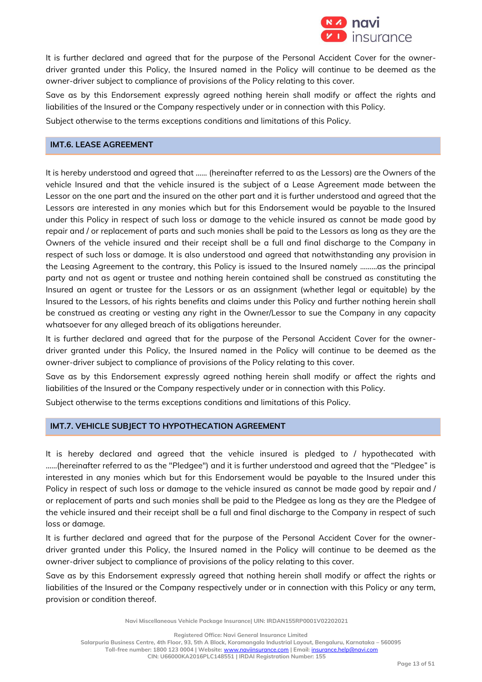

It is further declared and agreed that for the purpose of the Personal Accident Cover for the ownerdriver granted under this Policy, the Insured named in the Policy will continue to be deemed as the owner-driver subject to compliance of provisions of the Policy relating to this cover.

Save as by this Endorsement expressly agreed nothing herein shall modify or affect the rights and liabilities of the Insured or the Company respectively under or in connection with this Policy.

Subject otherwise to the terms exceptions conditions and limitations of this Policy.

## **IMT.6. LEASE AGREEMENT**

It is hereby understood and agreed that …… (hereinafter referred to as the Lessors) are the Owners of the vehicle Insured and that the vehicle insured is the subject of a Lease Agreement made between the Lessor on the one part and the insured on the other part and it is further understood and agreed that the Lessors are interested in any monies which but for this Endorsement would be payable to the Insured under this Policy in respect of such loss or damage to the vehicle insured as cannot be made good by repair and / or replacement of parts and such monies shall be paid to the Lessors as long as they are the Owners of the vehicle insured and their receipt shall be a full and final discharge to the Company in respect of such loss or damage. It is also understood and agreed that notwithstanding any provision in the Leasing Agreement to the contrary, this Policy is issued to the Insured namely ………as the principal party and not as agent or trustee and nothing herein contained shall be construed as constituting the Insured an agent or trustee for the Lessors or as an assignment (whether legal or equitable) by the Insured to the Lessors, of his rights benefits and claims under this Policy and further nothing herein shall be construed as creating or vesting any right in the Owner/Lessor to sue the Company in any capacity whatsoever for any alleged breach of its obligations hereunder.

It is further declared and agreed that for the purpose of the Personal Accident Cover for the ownerdriver granted under this Policy, the Insured named in the Policy will continue to be deemed as the owner-driver subject to compliance of provisions of the Policy relating to this cover.

Save as by this Endorsement expressly agreed nothing herein shall modify or affect the rights and liabilities of the Insured or the Company respectively under or in connection with this Policy.

Subject otherwise to the terms exceptions conditions and limitations of this Policy.

## **IMT.7. VEHICLE SUBJECT TO HYPOTHECATION AGREEMENT**

It is hereby declared and agreed that the vehicle insured is pledged to / hypothecated with ……(hereinafter referred to as the "Pledgee") and it is further understood and agreed that the "Pledgee" is interested in any monies which but for this Endorsement would be payable to the Insured under this Policy in respect of such loss or damage to the vehicle insured as cannot be made good by repair and / or replacement of parts and such monies shall be paid to the Pledgee as long as they are the Pledgee of the vehicle insured and their receipt shall be a full and final discharge to the Company in respect of such loss or damage.

It is further declared and agreed that for the purpose of the Personal Accident Cover for the ownerdriver granted under this Policy, the Insured named in the Policy will continue to be deemed as the owner-driver subject to compliance of provisions of the policy relating to this cover.

Save as by this Endorsement expressly agreed that nothing herein shall modify or affect the rights or liabilities of the Insured or the Company respectively under or in connection with this Policy or any term, provision or condition thereof.

**Navi Miscellaneous Vehicle Package Insurance| UIN: IRDAN155RP0001V02202021**

**Registered Office: Navi General Insurance Limited**

**Salarpuria Business Centre, 4th Floor, 93, 5th A Block, Koramangala Industrial Layout, Bengaluru, Karnataka – 560095**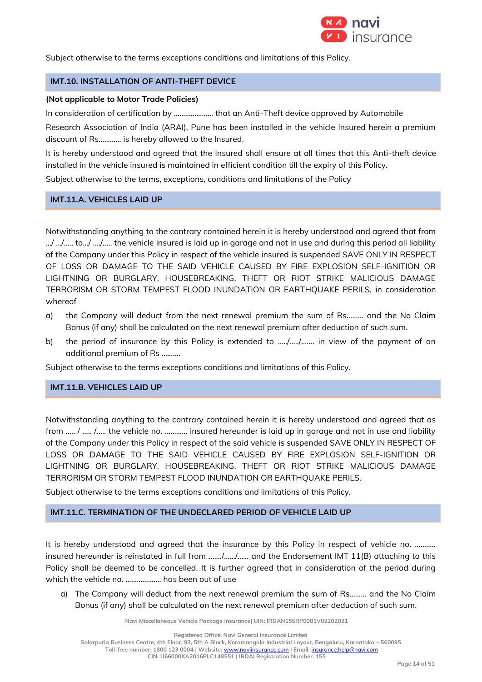

Subject otherwise to the terms exceptions conditions and limitations of this Policy.

### **IMT.10. INSTALLATION OF ANTI-THEFT DEVICE**

#### **(Not applicable to Motor Trade Policies)**

In consideration of certification by ………………… that an Anti-Theft device approved by Automobile

Research Association of India (ARAI), Pune has been installed in the vehicle Insured herein a premium discount of Rs………… is hereby allowed to the Insured.

It is hereby understood and agreed that the Insured shall ensure at all times that this Anti-theft device installed in the vehicle insured is maintained in efficient condition till the expiry of this Policy.

Subject otherwise to the terms, exceptions, conditions and limitations of the Policy

## **IMT.11.A. VEHICLES LAID UP**

Notwithstanding anything to the contrary contained herein it is hereby understood and agreed that from .../ .../ .... to.../ ..../ ..... the vehicle insured is laid up in garage and not in use and during this period all liability of the Company under this Policy in respect of the vehicle insured is suspended SAVE ONLY IN RESPECT OF LOSS OR DAMAGE TO THE SAID VEHICLE CAUSED BY FIRE EXPLOSION SELF-IGNITION OR LIGHTNING OR BURGLARY, HOUSEBREAKING, THEFT OR RIOT STRIKE MALICIOUS DAMAGE TERRORISM OR STORM TEMPEST FLOOD INUNDATION OR EARTHQUAKE PERILS, in consideration whereof

- a) the Company will deduct from the next renewal premium the sum of Rs……… and the No Claim Bonus (if any) shall be calculated on the next renewal premium after deduction of such sum.
- b) the period of insurance by this Policy is extended to ...../...../....... in view of the payment of an additional premium of Rs ……….

Subject otherwise to the terms exceptions conditions and limitations of this Policy.

## **IMT.11.B. VEHICLES LAID UP**

Notwithstanding anything to the contrary contained herein it is hereby understood and agreed that as from ….. / ….. /….. the vehicle no. ………… insured hereunder is laid up in garage and not in use and liability of the Company under this Policy in respect of the said vehicle is suspended SAVE ONLY IN RESPECT OF LOSS OR DAMAGE TO THE SAID VEHICLE CAUSED BY FIRE EXPLOSION SELF-IGNITION OR LIGHTNING OR BURGLARY, HOUSEBREAKING, THEFT OR RIOT STRIKE MALICIOUS DAMAGE TERRORISM OR STORM TEMPEST FLOOD INUNDATION OR EARTHQUAKE PERILS.

Subject otherwise to the terms exceptions conditions and limitations of this Policy.

## **IMT.11.C. TERMINATION OF THE UNDECLARED PERIOD OF VEHICLE LAID UP**

It is hereby understood and agreed that the insurance by this Policy in respect of vehicle no. ........... insured hereunder is reinstated in full from ……./……/…… and the Endorsement IMT 11(B) attaching to this Policy shall be deemed to be cancelled. It is further agreed that in consideration of the period during which the vehicle no. ………………. has been out of use

a) The Company will deduct from the next renewal premium the sum of Rs……… and the No Claim Bonus (if any) shall be calculated on the next renewal premium after deduction of such sum.

**Navi Miscellaneous Vehicle Package Insurance| UIN: IRDAN155RP0001V02202021**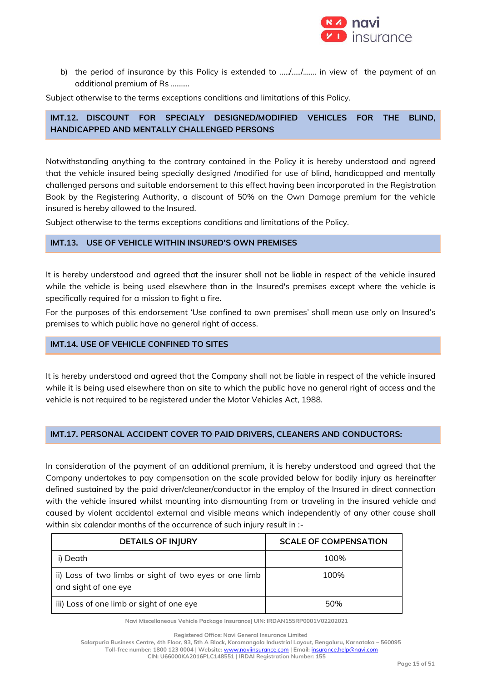

b) the period of insurance by this Policy is extended to .…./…../……. in view of the payment of an additional premium of Rs ……….

Subject otherwise to the terms exceptions conditions and limitations of this Policy.

## **IMT.12. DISCOUNT FOR SPECIALY DESIGNED/MODIFIED VEHICLES FOR THE BLIND, HANDICAPPED AND MENTALLY CHALLENGED PERSONS**

Notwithstanding anything to the contrary contained in the Policy it is hereby understood and agreed that the vehicle insured being specially designed /modified for use of blind, handicapped and mentally challenged persons and suitable endorsement to this effect having been incorporated in the Registration Book by the Registering Authority, a discount of 50% on the Own Damage premium for the vehicle insured is hereby allowed to the Insured.

Subject otherwise to the terms exceptions conditions and limitations of the Policy.

### **IMT.13. USE OF VEHICLE WITHIN INSURED'S OWN PREMISES**

It is hereby understood and agreed that the insurer shall not be liable in respect of the vehicle insured while the vehicle is being used elsewhere than in the Insured's premises except where the vehicle is specifically required for a mission to fight a fire.

For the purposes of this endorsement 'Use confined to own premises' shall mean use only on Insured's premises to which public have no general right of access.

### **IMT.14. USE OF VEHICLE CONFINED TO SITES**

It is hereby understood and agreed that the Company shall not be liable in respect of the vehicle insured while it is being used elsewhere than on site to which the public have no general right of access and the vehicle is not required to be registered under the Motor Vehicles Act, 1988.

## **IMT.17. PERSONAL ACCIDENT COVER TO PAID DRIVERS, CLEANERS AND CONDUCTORS:**

In consideration of the payment of an additional premium, it is hereby understood and agreed that the Company undertakes to pay compensation on the scale provided below for bodily injury as hereinafter defined sustained by the paid driver/cleaner/conductor in the employ of the Insured in direct connection with the vehicle insured whilst mounting into dismounting from or traveling in the insured vehicle and caused by violent accidental external and visible means which independently of any other cause shall within six calendar months of the occurrence of such injury result in :-

| <b>DETAILS OF INJURY</b>                                                       | <b>SCALE OF COMPENSATION</b> |
|--------------------------------------------------------------------------------|------------------------------|
| i) Death                                                                       | 100%                         |
| ii) Loss of two limbs or sight of two eyes or one limb<br>and sight of one eye | 100%                         |
| iii) Loss of one limb or sight of one eye                                      | 50%                          |

**Navi Miscellaneous Vehicle Package Insurance| UIN: IRDAN155RP0001V02202021**

**Registered Office: Navi General Insurance Limited**

**Salarpuria Business Centre, 4th Floor, 93, 5th A Block, Koramangala Industrial Layout, Bengaluru, Karnataka – 560095**

**Toll-free number: 1800 123 0004 | Website:** [www.naviinsurance.com](http://www.naviinsurance.com/) **| Email:** [insurance.help@navi.com](mailto:insurance.help@navi.com)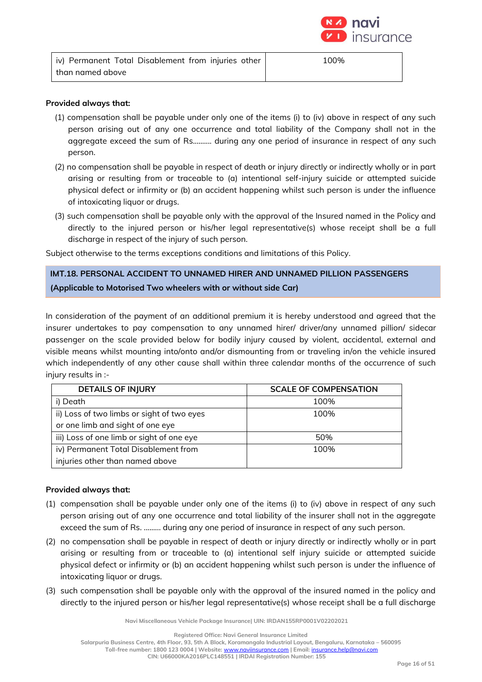

| iv) Permanent Total Disablement from injuries other | 100% |
|-----------------------------------------------------|------|
| than named above                                    |      |

## **Provided always that:**

- (1) compensation shall be payable under only one of the items (i) to (iv) above in respect of any such person arising out of any one occurrence and total liability of the Company shall not in the aggregate exceed the sum of Rs.....….. during any one period of insurance in respect of any such person.
- (2) no compensation shall be payable in respect of death or injury directly or indirectly wholly or in part arising or resulting from or traceable to (a) intentional self-injury suicide or attempted suicide physical defect or infirmity or (b) an accident happening whilst such person is under the influence of intoxicating liquor or drugs.
- (3) such compensation shall be payable only with the approval of the Insured named in the Policy and directly to the injured person or his/her legal representative(s) whose receipt shall be a full discharge in respect of the injury of such person.

Subject otherwise to the terms exceptions conditions and limitations of this Policy.

# **IMT.18. PERSONAL ACCIDENT TO UNNAMED HIRER AND UNNAMED PILLION PASSENGERS (Applicable to Motorised Two wheelers with or without side Car)**

In consideration of the payment of an additional premium it is hereby understood and agreed that the insurer undertakes to pay compensation to any unnamed hirer/ driver/any unnamed pillion/ sidecar passenger on the scale provided below for bodily injury caused by violent, accidental, external and visible means whilst mounting into/onto and/or dismounting from or traveling in/on the vehicle insured which independently of any other cause shall within three calendar months of the occurrence of such injury results in :-

| <b>DETAILS OF INJURY</b>                     | <b>SCALE OF COMPENSATION</b> |
|----------------------------------------------|------------------------------|
| i) Death                                     | 100%                         |
| ii) Loss of two limbs or sight of two eyes   | 100%                         |
| or one limb and sight of one eye             |                              |
| iii) Loss of one limb or sight of one eye    | 50%                          |
| iv) Permanent Total Disablement from<br>100% |                              |
| injuries other than named above              |                              |

### **Provided always that:**

- (1) compensation shall be payable under only one of the items (i) to (iv) above in respect of any such person arising out of any one occurrence and total liability of the insurer shall not in the aggregate exceed the sum of Rs. ....….. during any one period of insurance in respect of any such person.
- (2) no compensation shall be payable in respect of death or injury directly or indirectly wholly or in part arising or resulting from or traceable to (a) intentional self injury suicide or attempted suicide physical defect or infirmity or (b) an accident happening whilst such person is under the influence of intoxicating liquor or drugs.
- (3) such compensation shall be payable only with the approval of the insured named in the policy and directly to the injured person or his/her legal representative(s) whose receipt shall be a full discharge

**Navi Miscellaneous Vehicle Package Insurance| UIN: IRDAN155RP0001V02202021**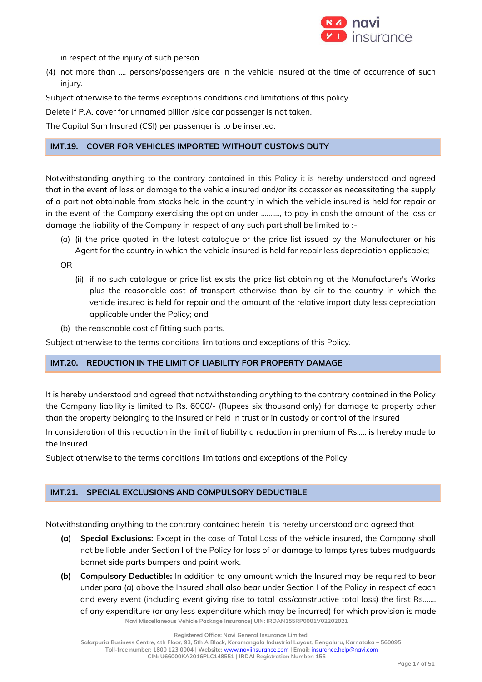

in respect of the injury of such person.

(4) not more than .... persons/passengers are in the vehicle insured at the time of occurrence of such injury.

Subject otherwise to the terms exceptions conditions and limitations of this policy.

Delete if P.A. cover for unnamed pillion /side car passenger is not taken.

The Capital Sum Insured (CSI) per passenger is to be inserted.

## **IMT.19. COVER FOR VEHICLES IMPORTED WITHOUT CUSTOMS DUTY**

Notwithstanding anything to the contrary contained in this Policy it is hereby understood and agreed that in the event of loss or damage to the vehicle insured and/or its accessories necessitating the supply of a part not obtainable from stocks held in the country in which the vehicle insured is held for repair or in the event of the Company exercising the option under ………., to pay in cash the amount of the loss or damage the liability of the Company in respect of any such part shall be limited to :-

(a) (i) the price quoted in the latest catalogue or the price list issued by the Manufacturer or his Agent for the country in which the vehicle insured is held for repair less depreciation applicable;

OR

- (ii) if no such catalogue or price list exists the price list obtaining at the Manufacturer's Works plus the reasonable cost of transport otherwise than by air to the country in which the vehicle insured is held for repair and the amount of the relative import duty less depreciation applicable under the Policy; and
- (b) the reasonable cost of fitting such parts.

Subject otherwise to the terms conditions limitations and exceptions of this Policy.

## **IMT.20. REDUCTION IN THE LIMIT OF LIABILITY FOR PROPERTY DAMAGE**

It is hereby understood and agreed that notwithstanding anything to the contrary contained in the Policy the Company liability is limited to Rs. 6000/- (Rupees six thousand only) for damage to property other than the property belonging to the Insured or held in trust or in custody or control of the Insured

In consideration of this reduction in the limit of liability a reduction in premium of Rs….. is hereby made to the Insured.

Subject otherwise to the terms conditions limitations and exceptions of the Policy.

## **IMT.21. SPECIAL EXCLUSIONS AND COMPULSORY DEDUCTIBLE**

Notwithstanding anything to the contrary contained herein it is hereby understood and agreed that

- **(a) Special Exclusions:** Except in the case of Total Loss of the vehicle insured, the Company shall not be liable under Section I of the Policy for loss of or damage to lamps tyres tubes mudguards bonnet side parts bumpers and paint work.
- **Navi Miscellaneous Vehicle Package Insurance| UIN: IRDAN155RP0001V02202021 (b) Compulsory Deductible:** In addition to any amount which the Insured may be required to bear under para (a) above the Insured shall also bear under Section I of the Policy in respect of each and every event (including event giving rise to total loss/constructive total loss) the first Rs....... of any expenditure (or any less expenditure which may be incurred) for which provision is made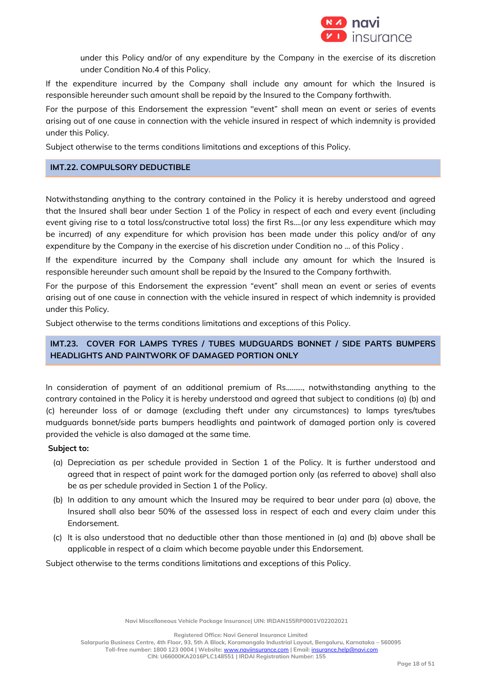

under this Policy and/or of any expenditure by the Company in the exercise of its discretion under Condition No.4 of this Policy.

If the expenditure incurred by the Company shall include any amount for which the Insured is responsible hereunder such amount shall be repaid by the Insured to the Company forthwith.

For the purpose of this Endorsement the expression "event" shall mean an event or series of events arising out of one cause in connection with the vehicle insured in respect of which indemnity is provided under this Policy.

Subject otherwise to the terms conditions limitations and exceptions of this Policy.

### **IMT.22. COMPULSORY DEDUCTIBLE**

Notwithstanding anything to the contrary contained in the Policy it is hereby understood and agreed that the Insured shall bear under Section 1 of the Policy in respect of each and every event (including event giving rise to a total loss/constructive total loss) the first Rs....(or any less expenditure which may be incurred) of any expenditure for which provision has been made under this policy and/or of any expenditure by the Company in the exercise of his discretion under Condition no … of this Policy .

If the expenditure incurred by the Company shall include any amount for which the Insured is responsible hereunder such amount shall be repaid by the Insured to the Company forthwith.

For the purpose of this Endorsement the expression "event" shall mean an event or series of events arising out of one cause in connection with the vehicle insured in respect of which indemnity is provided under this Policy.

Subject otherwise to the terms conditions limitations and exceptions of this Policy.

## **IMT.23. COVER FOR LAMPS TYRES / TUBES MUDGUARDS BONNET / SIDE PARTS BUMPERS HEADLIGHTS AND PAINTWORK OF DAMAGED PORTION ONLY**

In consideration of payment of an additional premium of Rs....….., notwithstanding anything to the contrary contained in the Policy it is hereby understood and agreed that subject to conditions (a) (b) and (c) hereunder loss of or damage (excluding theft under any circumstances) to lamps tyres/tubes mudguards bonnet/side parts bumpers headlights and paintwork of damaged portion only is covered provided the vehicle is also damaged at the same time.

#### **Subject to:**

- (a) Depreciation as per schedule provided in Section 1 of the Policy. It is further understood and agreed that in respect of paint work for the damaged portion only (as referred to above) shall also be as per schedule provided in Section 1 of the Policy.
- (b) In addition to any amount which the Insured may be required to bear under para (a) above, the Insured shall also bear 50% of the assessed loss in respect of each and every claim under this Endorsement.
- (c) It is also understood that no deductible other than those mentioned in (a) and (b) above shall be applicable in respect of a claim which become payable under this Endorsement.

Subject otherwise to the terms conditions limitations and exceptions of this Policy.

**Navi Miscellaneous Vehicle Package Insurance| UIN: IRDAN155RP0001V02202021**

**Registered Office: Navi General Insurance Limited**

**Salarpuria Business Centre, 4th Floor, 93, 5th A Block, Koramangala Industrial Layout, Bengaluru, Karnataka – 560095**

**Toll-free number: 1800 123 0004 | Website:** [www.naviinsurance.com](http://www.naviinsurance.com/) **| Email:** [insurance.help@navi.com](mailto:insurance.help@navi.com) **CIN: U66000KA2016PLC148551 | IRDAI Registration Number: 155**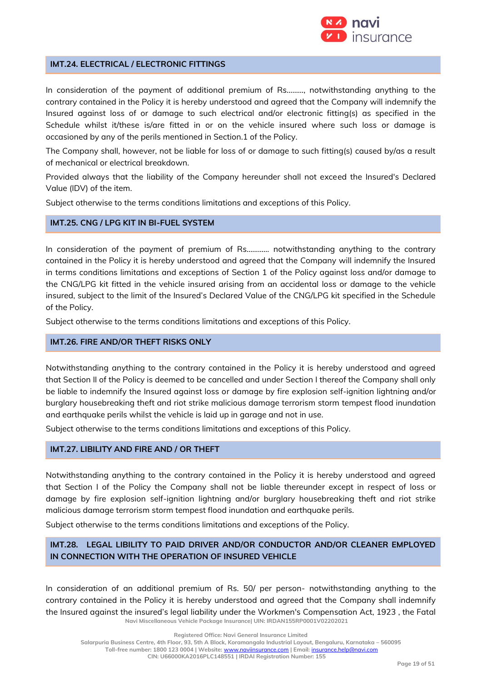

### **IMT.24. ELECTRICAL / ELECTRONIC FITTINGS**

In consideration of the payment of additional premium of Rs………, notwithstanding anything to the contrary contained in the Policy it is hereby understood and agreed that the Company will indemnify the Insured against loss of or damage to such electrical and/or electronic fitting(s) as specified in the Schedule whilst it/these is/are fitted in or on the vehicle insured where such loss or damage is occasioned by any of the perils mentioned in Section.1 of the Policy.

The Company shall, however, not be liable for loss of or damage to such fitting(s) caused by/as a result of mechanical or electrical breakdown.

Provided always that the liability of the Company hereunder shall not exceed the Insured's Declared Value (IDV) of the item.

Subject otherwise to the terms conditions limitations and exceptions of this Policy.

### **IMT.25. CNG / LPG KIT IN BI-FUEL SYSTEM**

In consideration of the payment of premium of Rs………… notwithstanding anything to the contrary contained in the Policy it is hereby understood and agreed that the Company will indemnify the Insured in terms conditions limitations and exceptions of Section 1 of the Policy against loss and/or damage to the CNG/LPG kit fitted in the vehicle insured arising from an accidental loss or damage to the vehicle insured, subject to the limit of the Insured's Declared Value of the CNG/LPG kit specified in the Schedule of the Policy.

Subject otherwise to the terms conditions limitations and exceptions of this Policy.

## **IMT.26. FIRE AND/OR THEFT RISKS ONLY**

Notwithstanding anything to the contrary contained in the Policy it is hereby understood and agreed that Section II of the Policy is deemed to be cancelled and under Section I thereof the Company shall only be liable to indemnify the Insured against loss or damage by fire explosion self-ignition lightning and/or burglary housebreaking theft and riot strike malicious damage terrorism storm tempest flood inundation and earthquake perils whilst the vehicle is laid up in garage and not in use.

Subject otherwise to the terms conditions limitations and exceptions of this Policy.

## **IMT.27. LIBILITY AND FIRE AND / OR THEFT**

Notwithstanding anything to the contrary contained in the Policy it is hereby understood and agreed that Section I of the Policy the Company shall not be liable thereunder except in respect of loss or damage by fire explosion self-ignition lightning and/or burglary housebreaking theft and riot strike malicious damage terrorism storm tempest flood inundation and earthquake perils.

Subject otherwise to the terms conditions limitations and exceptions of the Policy.

## **IMT.28. LEGAL LIBILITY TO PAID DRIVER AND/OR CONDUCTOR AND/OR CLEANER EMPLOYED IN CONNECTION WITH THE OPERATION OF INSURED VEHICLE**

**Navi Miscellaneous Vehicle Package Insurance| UIN: IRDAN155RP0001V02202021** In consideration of an additional premium of Rs. 50/ per person- notwithstanding anything to the contrary contained in the Policy it is hereby understood and agreed that the Company shall indemnify the Insured against the insured's legal liability under the Workmen's Compensation Act, 1923 , the Fatal

**Registered Office: Navi General Insurance Limited**

**Toll-free number: 1800 123 0004 | Website:** [www.naviinsurance.com](http://www.naviinsurance.com/) **| Email:** [insurance.help@navi.com](mailto:insurance.help@navi.com)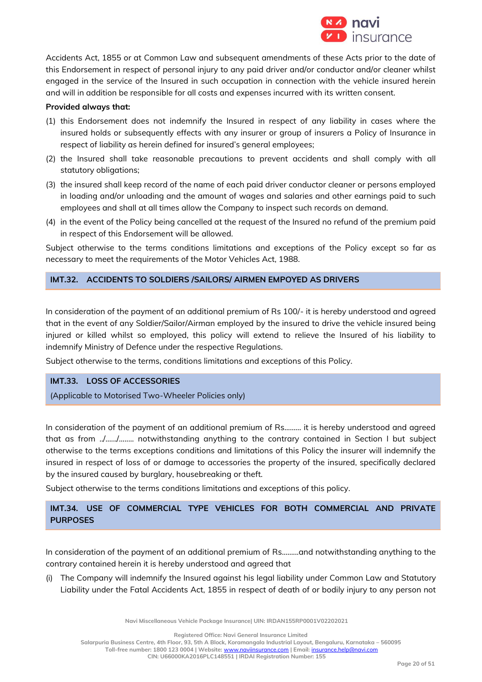

Accidents Act, 1855 or at Common Law and subsequent amendments of these Acts prior to the date of this Endorsement in respect of personal injury to any paid driver and/or conductor and/or cleaner whilst engaged in the service of the Insured in such occupation in connection with the vehicle insured herein and will in addition be responsible for all costs and expenses incurred with its written consent.

### **Provided always that:**

- (1) this Endorsement does not indemnify the Insured in respect of any liability in cases where the insured holds or subsequently effects with any insurer or group of insurers a Policy of Insurance in respect of liability as herein defined for insured's general employees;
- (2) the Insured shall take reasonable precautions to prevent accidents and shall comply with all statutory obligations;
- (3) the insured shall keep record of the name of each paid driver conductor cleaner or persons employed in loading and/or unloading and the amount of wages and salaries and other earnings paid to such employees and shall at all times allow the Company to inspect such records on demand.
- (4) in the event of the Policy being cancelled at the request of the Insured no refund of the premium paid in respect of this Endorsement will be allowed.

Subject otherwise to the terms conditions limitations and exceptions of the Policy except so far as necessary to meet the requirements of the Motor Vehicles Act, 1988.

### **IMT.32. ACCIDENTS TO SOLDIERS /SAILORS/ AIRMEN EMPOYED AS DRIVERS**

In consideration of the payment of an additional premium of Rs 100/- it is hereby understood and agreed that in the event of any Soldier/Sailor/Airman employed by the insured to drive the vehicle insured being injured or killed whilst so employed, this policy will extend to relieve the Insured of his liability to indemnify Ministry of Defence under the respective Regulations.

Subject otherwise to the terms, conditions limitations and exceptions of this Policy.

## **IMT.33. LOSS OF ACCESSORIES**

(Applicable to Motorised Two-Wheeler Policies only)

In consideration of the payment of an additional premium of Rs...…… it is hereby understood and agreed that as from ../….../…..... notwithstanding anything to the contrary contained in Section I but subject otherwise to the terms exceptions conditions and limitations of this Policy the insurer will indemnify the insured in respect of loss of or damage to accessories the property of the insured, specifically declared by the insured caused by burglary, housebreaking or theft.

Subject otherwise to the terms conditions limitations and exceptions of this policy.

# **IMT.34. USE OF COMMERCIAL TYPE VEHICLES FOR BOTH COMMERCIAL AND PRIVATE PURPOSES**

In consideration of the payment of an additional premium of Rs.……..and notwithstanding anything to the contrary contained herein it is hereby understood and agreed that

(i) The Company will indemnify the Insured against his legal liability under Common Law and Statutory Liability under the Fatal Accidents Act, 1855 in respect of death of or bodily injury to any person not

**Navi Miscellaneous Vehicle Package Insurance| UIN: IRDAN155RP0001V02202021**

**Registered Office: Navi General Insurance Limited**

**Salarpuria Business Centre, 4th Floor, 93, 5th A Block, Koramangala Industrial Layout, Bengaluru, Karnataka – 560095**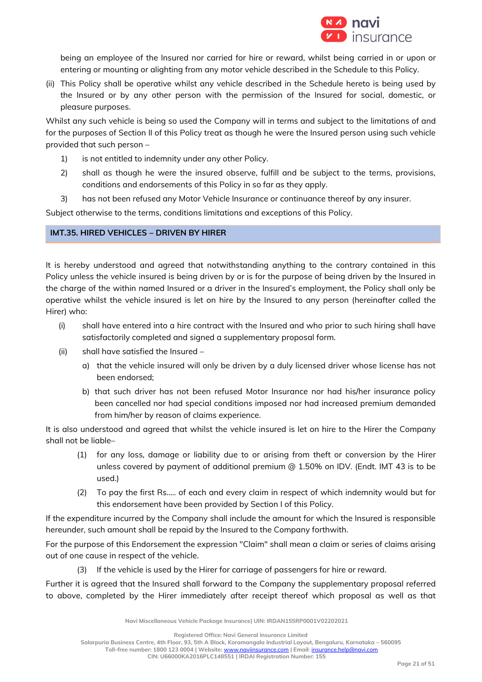

being an employee of the Insured nor carried for hire or reward, whilst being carried in or upon or entering or mounting or alighting from any motor vehicle described in the Schedule to this Policy.

(ii) This Policy shall be operative whilst any vehicle described in the Schedule hereto is being used by the Insured or by any other person with the permission of the Insured for social, domestic, or pleasure purposes.

Whilst any such vehicle is being so used the Company will in terms and subject to the limitations of and for the purposes of Section II of this Policy treat as though he were the Insured person using such vehicle provided that such person –

- 1) is not entitled to indemnity under any other Policy.
- 2) shall as though he were the insured observe, fulfill and be subject to the terms, provisions, conditions and endorsements of this Policy in so far as they apply.
- 3) has not been refused any Motor Vehicle Insurance or continuance thereof by any insurer.

Subject otherwise to the terms, conditions limitations and exceptions of this Policy.

## **IMT.35. HIRED VEHICLES – DRIVEN BY HIRER**

It is hereby understood and agreed that notwithstanding anything to the contrary contained in this Policy unless the vehicle insured is being driven by or is for the purpose of being driven by the Insured in the charge of the within named Insured or a driver in the Insured's employment, the Policy shall only be operative whilst the vehicle insured is let on hire by the Insured to any person (hereinafter called the Hirer) who:

- (i) shall have entered into a hire contract with the Insured and who prior to such hiring shall have satisfactorily completed and signed a supplementary proposal form.
- (ii) shall have satisfied the Insured
	- a) that the vehicle insured will only be driven by a duly licensed driver whose license has not been endorsed;
	- b) that such driver has not been refused Motor Insurance nor had his/her insurance policy been cancelled nor had special conditions imposed nor had increased premium demanded from him/her by reason of claims experience.

It is also understood and agreed that whilst the vehicle insured is let on hire to the Hirer the Company shall not be liable–

- (1) for any loss, damage or liability due to or arising from theft or conversion by the Hirer unless covered by payment of additional premium @ 1.50% on IDV. (Endt. IMT 43 is to be used.)
- (2) To pay the first Rs..... of each and every claim in respect of which indemnity would but for this endorsement have been provided by Section I of this Policy.

If the expenditure incurred by the Company shall include the amount for which the Insured is responsible hereunder, such amount shall be repaid by the Insured to the Company forthwith.

For the purpose of this Endorsement the expression "Claim" shall mean a claim or series of claims arising out of one cause in respect of the vehicle.

(3) If the vehicle is used by the Hirer for carriage of passengers for hire or reward.

Further it is agreed that the Insured shall forward to the Company the supplementary proposal referred to above, completed by the Hirer immediately after receipt thereof which proposal as well as that

**Navi Miscellaneous Vehicle Package Insurance| UIN: IRDAN155RP0001V02202021**

**Registered Office: Navi General Insurance Limited**

**Salarpuria Business Centre, 4th Floor, 93, 5th A Block, Koramangala Industrial Layout, Bengaluru, Karnataka – 560095**

**Toll-free number: 1800 123 0004 | Website:** [www.naviinsurance.com](http://www.naviinsurance.com/) **| Email:** [insurance.help@navi.com](mailto:insurance.help@navi.com)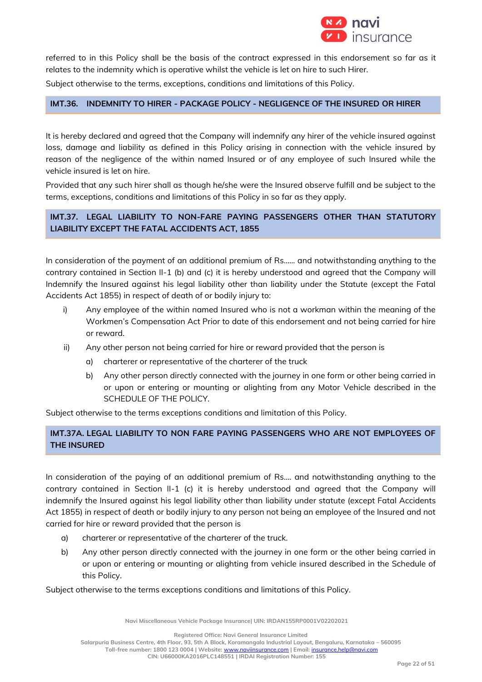

referred to in this Policy shall be the basis of the contract expressed in this endorsement so far as it relates to the indemnity which is operative whilst the vehicle is let on hire to such Hirer.

Subject otherwise to the terms, exceptions, conditions and limitations of this Policy.

## **IMT.36. INDEMNITY TO HIRER - PACKAGE POLICY - NEGLIGENCE OF THE INSURED OR HIRER**

It is hereby declared and agreed that the Company will indemnify any hirer of the vehicle insured against loss, damage and liability as defined in this Policy arising in connection with the vehicle insured by reason of the negligence of the within named Insured or of any employee of such Insured while the vehicle insured is let on hire.

Provided that any such hirer shall as though he/she were the Insured observe fulfill and be subject to the terms, exceptions, conditions and limitations of this Policy in so far as they apply.

## **IMT.37. LEGAL LIABILITY TO NON-FARE PAYING PASSENGERS OTHER THAN STATUTORY LIABILITY EXCEPT THE FATAL ACCIDENTS ACT, 1855**

In consideration of the payment of an additional premium of Rs…… and notwithstanding anything to the contrary contained in Section II-1 (b) and (c) it is hereby understood and agreed that the Company will Indemnify the Insured against his legal liability other than liability under the Statute (except the Fatal Accidents Act 1855) in respect of death of or bodily injury to:

- i) Any employee of the within named Insured who is not a workman within the meaning of the Workmen's Compensation Act Prior to date of this endorsement and not being carried for hire or reward.
- ii) Any other person not being carried for hire or reward provided that the person is
	- a) charterer or representative of the charterer of the truck
	- b) Any other person directly connected with the journey in one form or other being carried in or upon or entering or mounting or alighting from any Motor Vehicle described in the SCHEDULE OF THE POLICY.

Subject otherwise to the terms exceptions conditions and limitation of this Policy.

## **IMT.37A. LEGAL LIABILITY TO NON FARE PAYING PASSENGERS WHO ARE NOT EMPLOYEES OF THE INSURED**

In consideration of the paying of an additional premium of Rs…. and notwithstanding anything to the contrary contained in Section II-1 (c) it is hereby understood and agreed that the Company will indemnify the Insured against his legal liability other than liability under statute (except Fatal Accidents Act 1855) in respect of death or bodily injury to any person not being an employee of the Insured and not carried for hire or reward provided that the person is

- a) charterer or representative of the charterer of the truck.
- b) Any other person directly connected with the journey in one form or the other being carried in or upon or entering or mounting or alighting from vehicle insured described in the Schedule of this Policy.

Subject otherwise to the terms exceptions conditions and limitations of this Policy.

**Navi Miscellaneous Vehicle Package Insurance| UIN: IRDAN155RP0001V02202021**

**Registered Office: Navi General Insurance Limited**

**Salarpuria Business Centre, 4th Floor, 93, 5th A Block, Koramangala Industrial Layout, Bengaluru, Karnataka – 560095**

**Toll-free number: 1800 123 0004 | Website:** [www.naviinsurance.com](http://www.naviinsurance.com/) **| Email:** [insurance.help@navi.com](mailto:insurance.help@navi.com)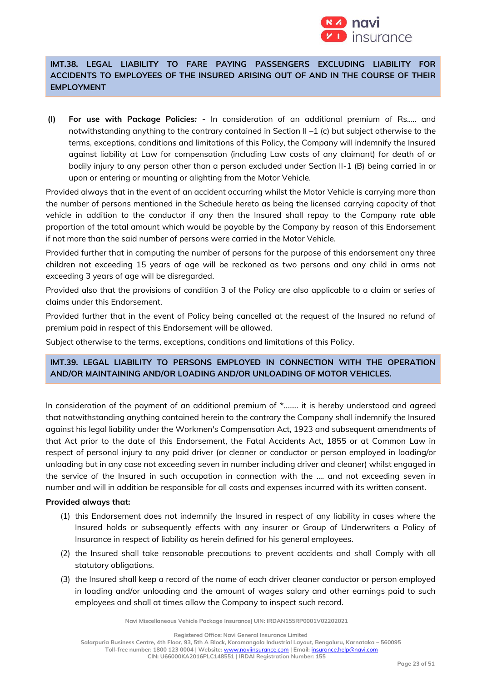

# **IMT.38. LEGAL LIABILITY TO FARE PAYING PASSENGERS EXCLUDING LIABILITY FOR ACCIDENTS TO EMPLOYEES OF THE INSURED ARISING OUT OF AND IN THE COURSE OF THEIR EMPLOYMENT**

**(I) For use with Package Policies***:* **-** In consideration of an additional premium of Rs..... and notwithstanding anything to the contrary contained in Section II –1 (c) but subject otherwise to the terms, exceptions, conditions and limitations of this Policy, the Company will indemnify the Insured against liability at Law for compensation (including Law costs of any claimant) for death of or bodily injury to any person other than a person excluded under Section II-1 (B) being carried in or upon or entering or mounting or alighting from the Motor Vehicle.

Provided always that in the event of an accident occurring whilst the Motor Vehicle is carrying more than the number of persons mentioned in the Schedule hereto as being the licensed carrying capacity of that vehicle in addition to the conductor if any then the Insured shall repay to the Company rate able proportion of the total amount which would be payable by the Company by reason of this Endorsement if not more than the said number of persons were carried in the Motor Vehicle.

Provided further that in computing the number of persons for the purpose of this endorsement any three children not exceeding 15 years of age will be reckoned as two persons and any child in arms not exceeding 3 years of age will be disregarded.

Provided also that the provisions of condition 3 of the Policy are also applicable to a claim or series of claims under this Endorsement.

Provided further that in the event of Policy being cancelled at the request of the Insured no refund of premium paid in respect of this Endorsement will be allowed.

Subject otherwise to the terms, exceptions, conditions and limitations of this Policy.

## **IMT.39. LEGAL LIABILITY TO PERSONS EMPLOYED IN CONNECTION WITH THE OPERATION AND/OR MAINTAINING AND/OR LOADING AND/OR UNLOADING OF MOTOR VEHICLES.**

In consideration of the payment of an additional premium of  $*$ ........ it is hereby understood and agreed that notwithstanding anything contained herein to the contrary the Company shall indemnify the Insured against his legal liability under the Workmen's Compensation Act, 1923 and subsequent amendments of that Act prior to the date of this Endorsement, the Fatal Accidents Act, 1855 or at Common Law in respect of personal injury to any paid driver (or cleaner or conductor or person employed in loading/or unloading but in any case not exceeding seven in number including driver and cleaner) whilst engaged in the service of the Insured in such occupation in connection with the .... and not exceeding seven in number and will in addition be responsible for all costs and expenses incurred with its written consent.

## **Provided always that:**

- (1) this Endorsement does not indemnify the Insured in respect of any liability in cases where the Insured holds or subsequently effects with any insurer or Group of Underwriters a Policy of Insurance in respect of liability as herein defined for his general employees.
- (2) the Insured shall take reasonable precautions to prevent accidents and shall Comply with all statutory obligations.
- (3) the Insured shall keep a record of the name of each driver cleaner conductor or person employed in loading and/or unloading and the amount of wages salary and other earnings paid to such employees and shall at times allow the Company to inspect such record.

**Navi Miscellaneous Vehicle Package Insurance| UIN: IRDAN155RP0001V02202021**

**Registered Office: Navi General Insurance Limited**

**Salarpuria Business Centre, 4th Floor, 93, 5th A Block, Koramangala Industrial Layout, Bengaluru, Karnataka – 560095**

**Toll-free number: 1800 123 0004 | Website:** [www.naviinsurance.com](http://www.naviinsurance.com/) **| Email:** [insurance.help@navi.com](mailto:insurance.help@navi.com)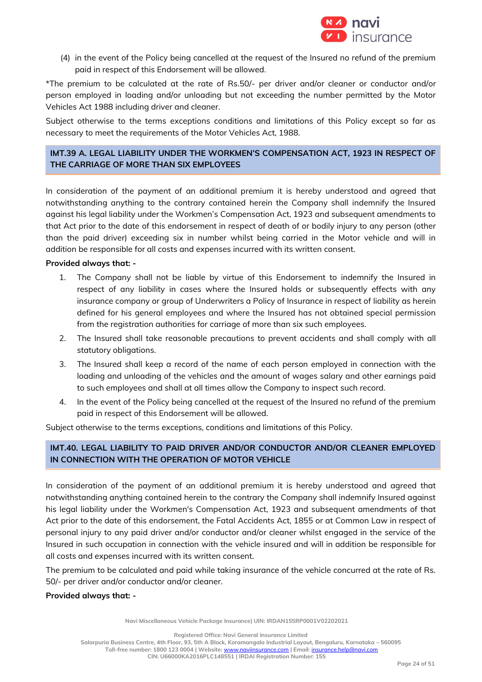

(4) in the event of the Policy being cancelled at the request of the Insured no refund of the premium paid in respect of this Endorsement will be allowed.

\*The premium to be calculated at the rate of Rs.50/- per driver and/or cleaner or conductor and/or person employed in loading and/or unloading but not exceeding the number permitted by the Motor Vehicles Act 1988 including driver and cleaner.

Subject otherwise to the terms exceptions conditions and limitations of this Policy except so far as necessary to meet the requirements of the Motor Vehicles Act, 1988.

## **IMT.39 A. LEGAL LIABILITY UNDER THE WORKMEN'S COMPENSATION ACT, 1923 IN RESPECT OF THE CARRIAGE OF MORE THAN SIX EMPLOYEES**

In consideration of the payment of an additional premium it is hereby understood and agreed that notwithstanding anything to the contrary contained herein the Company shall indemnify the Insured against his legal liability under the Workmen's Compensation Act, 1923 and subsequent amendments to that Act prior to the date of this endorsement in respect of death of or bodily injury to any person (other than the paid driver) exceeding six in number whilst being carried in the Motor vehicle and will in addition be responsible for all costs and expenses incurred with its written consent.

## **Provided always that: -**

- 1. The Company shall not be liable by virtue of this Endorsement to indemnify the Insured in respect of any liability in cases where the Insured holds or subsequently effects with any insurance company or group of Underwriters a Policy of Insurance in respect of liability as herein defined for his general employees and where the Insured has not obtained special permission from the registration authorities for carriage of more than six such employees.
- 2. The Insured shall take reasonable precautions to prevent accidents and shall comply with all statutory obligations.
- 3. The Insured shall keep a record of the name of each person employed in connection with the loading and unloading of the vehicles and the amount of wages salary and other earnings paid to such employees and shall at all times allow the Company to inspect such record.
- 4. In the event of the Policy being cancelled at the request of the Insured no refund of the premium paid in respect of this Endorsement will be allowed.

Subject otherwise to the terms exceptions, conditions and limitations of this Policy.

# **IMT.40. LEGAL LIABILITY TO PAID DRIVER AND/OR CONDUCTOR AND/OR CLEANER EMPLOYED IN CONNECTION WITH THE OPERATION OF MOTOR VEHICLE**

In consideration of the payment of an additional premium it is hereby understood and agreed that notwithstanding anything contained herein to the contrary the Company shall indemnify Insured against his legal liability under the Workmen's Compensation Act, 1923 and subsequent amendments of that Act prior to the date of this endorsement, the Fatal Accidents Act, 1855 or at Common Law in respect of personal injury to any paid driver and/or conductor and/or cleaner whilst engaged in the service of the Insured in such occupation in connection with the vehicle insured and will in addition be responsible for all costs and expenses incurred with its written consent.

The premium to be calculated and paid while taking insurance of the vehicle concurred at the rate of Rs. 50/- per driver and/or conductor and/or cleaner.

## **Provided always that: -**

**Navi Miscellaneous Vehicle Package Insurance| UIN: IRDAN155RP0001V02202021**

**Registered Office: Navi General Insurance Limited Salarpuria Business Centre, 4th Floor, 93, 5th A Block, Koramangala Industrial Layout, Bengaluru, Karnataka – 560095 Toll-free number: 1800 123 0004 | Website:** [www.naviinsurance.com](http://www.naviinsurance.com/) **| Email:** [insurance.help@navi.com](mailto:insurance.help@navi.com) **CIN: U66000KA2016PLC148551 | IRDAI Registration Number: 155**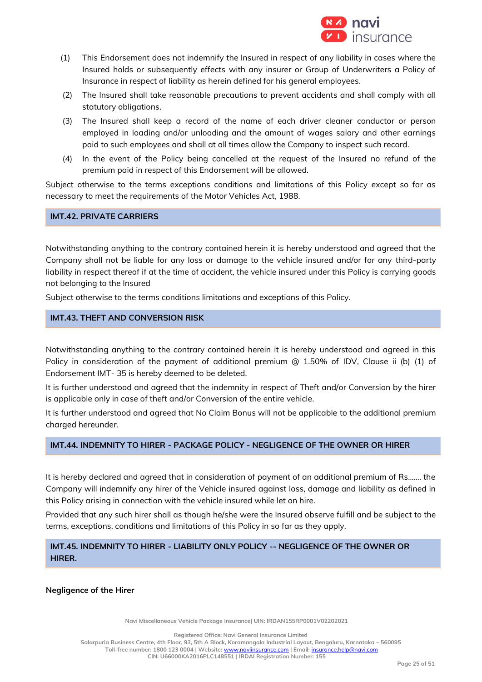

- (1) This Endorsement does not indemnify the Insured in respect of any liability in cases where the Insured holds or subsequently effects with any insurer or Group of Underwriters a Policy of Insurance in respect of liability as herein defined for his general employees.
- (2) The Insured shall take reasonable precautions to prevent accidents and shall comply with all statutory obligations.
- (3) The Insured shall keep a record of the name of each driver cleaner conductor or person employed in loading and/or unloading and the amount of wages salary and other earnings paid to such employees and shall at all times allow the Company to inspect such record.
- (4) In the event of the Policy being cancelled at the request of the Insured no refund of the premium paid in respect of this Endorsement will be allowed.

Subject otherwise to the terms exceptions conditions and limitations of this Policy except so far as necessary to meet the requirements of the Motor Vehicles Act, 1988.

**IMT.42. PRIVATE CARRIERS**

Notwithstanding anything to the contrary contained herein it is hereby understood and agreed that the Company shall not be liable for any loss or damage to the vehicle insured and/or for any third-party liability in respect thereof if at the time of accident, the vehicle insured under this Policy is carrying goods not belonging to the Insured

Subject otherwise to the terms conditions limitations and exceptions of this Policy.

## **IMT.43. THEFT AND CONVERSION RISK**

Notwithstanding anything to the contrary contained herein it is hereby understood and agreed in this Policy in consideration of the payment of additional premium @ 1.50% of IDV, Clause ii (b) (1) of Endorsement IMT- 35 is hereby deemed to be deleted.

It is further understood and agreed that the indemnity in respect of Theft and/or Conversion by the hirer is applicable only in case of theft and/or Conversion of the entire vehicle.

It is further understood and agreed that No Claim Bonus will not be applicable to the additional premium charged hereunder.

#### **IMT.44. INDEMNITY TO HIRER - PACKAGE POLICY - NEGLIGENCE OF THE OWNER OR HIRER**

It is hereby declared and agreed that in consideration of payment of an additional premium of Rs……. the Company will indemnify any hirer of the Vehicle insured against loss, damage and liability as defined in this Policy arising in connection with the vehicle insured while let on hire.

Provided that any such hirer shall as though he/she were the Insured observe fulfill and be subject to the terms, exceptions, conditions and limitations of this Policy in so far as they apply.

## **IMT.45. INDEMNITY TO HIRER - LIABILITY ONLY POLICY -- NEGLIGENCE OF THE OWNER OR HIRER.**

**Negligence of the Hirer**

**Navi Miscellaneous Vehicle Package Insurance| UIN: IRDAN155RP0001V02202021**

**Registered Office: Navi General Insurance Limited Salarpuria Business Centre, 4th Floor, 93, 5th A Block, Koramangala Industrial Layout, Bengaluru, Karnataka – 560095 Toll-free number: 1800 123 0004 | Website:** [www.naviinsurance.com](http://www.naviinsurance.com/) **| Email:** [insurance.help@navi.com](mailto:insurance.help@navi.com) **CIN: U66000KA2016PLC148551 | IRDAI Registration Number: 155**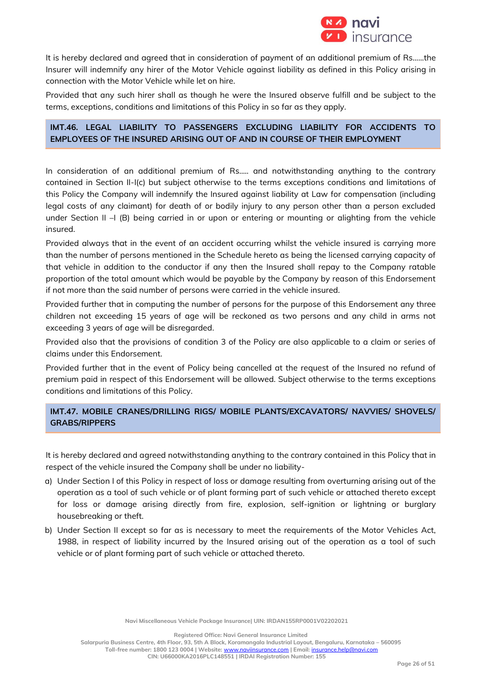

It is hereby declared and agreed that in consideration of payment of an additional premium of Rs……the Insurer will indemnify any hirer of the Motor Vehicle against liability as defined in this Policy arising in connection with the Motor Vehicle while let on hire.

Provided that any such hirer shall as though he were the Insured observe fulfill and be subject to the terms, exceptions, conditions and limitations of this Policy in so far as they apply.

## **IMT.46. LEGAL LIABILITY TO PASSENGERS EXCLUDING LIABILITY FOR ACCIDENTS TO EMPLOYEES OF THE INSURED ARISING OUT OF AND IN COURSE OF THEIR EMPLOYMENT**

In consideration of an additional premium of Rs….. and notwithstanding anything to the contrary contained in Section II-I(c) but subject otherwise to the terms exceptions conditions and limitations of this Policy the Company will indemnify the Insured against liability at Law for compensation (including legal costs of any claimant) for death of or bodily injury to any person other than a person excluded under Section II –I (B) being carried in or upon or entering or mounting or alighting from the vehicle insured.

Provided always that in the event of an accident occurring whilst the vehicle insured is carrying more than the number of persons mentioned in the Schedule hereto as being the licensed carrying capacity of that vehicle in addition to the conductor if any then the Insured shall repay to the Company ratable proportion of the total amount which would be payable by the Company by reason of this Endorsement if not more than the said number of persons were carried in the vehicle insured.

Provided further that in computing the number of persons for the purpose of this Endorsement any three children not exceeding 15 years of age will be reckoned as two persons and any child in arms not exceeding 3 years of age will be disregarded.

Provided also that the provisions of condition 3 of the Policy are also applicable to a claim or series of claims under this Endorsement.

Provided further that in the event of Policy being cancelled at the request of the Insured no refund of premium paid in respect of this Endorsement will be allowed. Subject otherwise to the terms exceptions conditions and limitations of this Policy.

## **IMT.47. MOBILE CRANES/DRILLING RIGS/ MOBILE PLANTS/EXCAVATORS/ NAVVIES/ SHOVELS/ GRABS/RIPPERS**

It is hereby declared and agreed notwithstanding anything to the contrary contained in this Policy that in respect of the vehicle insured the Company shall be under no liability-

- a) Under Section I of this Policy in respect of loss or damage resulting from overturning arising out of the operation as a tool of such vehicle or of plant forming part of such vehicle or attached thereto except for loss or damage arising directly from fire, explosion, self-ignition or lightning or burglary housebreaking or theft.
- b) Under Section II except so far as is necessary to meet the requirements of the Motor Vehicles Act, 1988, in respect of liability incurred by the Insured arising out of the operation as a tool of such vehicle or of plant forming part of such vehicle or attached thereto.

**Registered Office: Navi General Insurance Limited**

**Salarpuria Business Centre, 4th Floor, 93, 5th A Block, Koramangala Industrial Layout, Bengaluru, Karnataka – 560095**

**Toll-free number: 1800 123 0004 | Website:** [www.naviinsurance.com](http://www.naviinsurance.com/) **| Email:** [insurance.help@navi.com](mailto:insurance.help@navi.com) **CIN: U66000KA2016PLC148551 | IRDAI Registration Number: 155**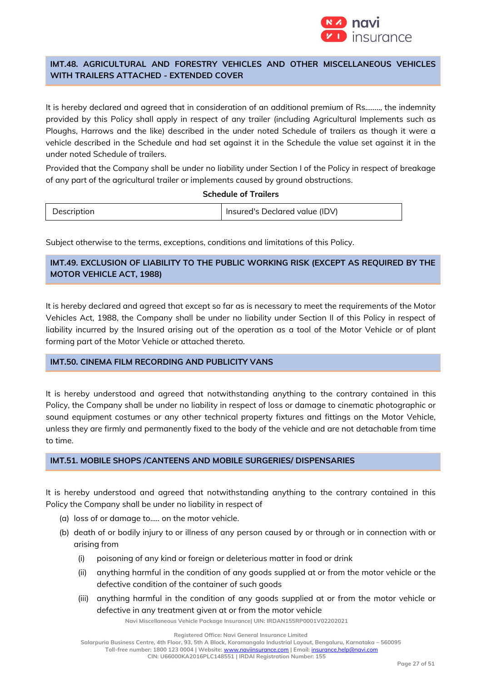

## **IMT.48. AGRICULTURAL AND FORESTRY VEHICLES AND OTHER MISCELLANEOUS VEHICLES WITH TRAILERS ATTACHED - EXTENDED COVER**

It is hereby declared and agreed that in consideration of an additional premium of Rs…….., the indemnity provided by this Policy shall apply in respect of any trailer (including Agricultural Implements such as Ploughs, Harrows and the like) described in the under noted Schedule of trailers as though it were a vehicle described in the Schedule and had set against it in the Schedule the value set against it in the under noted Schedule of trailers.

Provided that the Company shall be under no liability under Section I of the Policy in respect of breakage of any part of the agricultural trailer or implements caused by ground obstructions.

## **Schedule of Trailers**

| Description | Insured's Declared value (IDV) |
|-------------|--------------------------------|
|-------------|--------------------------------|

Subject otherwise to the terms, exceptions, conditions and limitations of this Policy.

## **IMT.49. EXCLUSION OF LIABILITY TO THE PUBLIC WORKING RISK (EXCEPT AS REQUIRED BY THE MOTOR VEHICLE ACT, 1988)**

It is hereby declared and agreed that except so far as is necessary to meet the requirements of the Motor Vehicles Act, 1988, the Company shall be under no liability under Section II of this Policy in respect of liability incurred by the Insured arising out of the operation as a tool of the Motor Vehicle or of plant forming part of the Motor Vehicle or attached thereto.

## **IMT.50. CINEMA FILM RECORDING AND PUBLICITY VANS**

It is hereby understood and agreed that notwithstanding anything to the contrary contained in this Policy, the Company shall be under no liability in respect of loss or damage to cinematic photographic or sound equipment costumes or any other technical property fixtures and fittings on the Motor Vehicle, unless they are firmly and permanently fixed to the body of the vehicle and are not detachable from time to time.

## **IMT.51. MOBILE SHOPS /CANTEENS AND MOBILE SURGERIES/ DISPENSARIES**

It is hereby understood and agreed that notwithstanding anything to the contrary contained in this Policy the Company shall be under no liability in respect of

- (a) loss of or damage to..... on the motor vehicle.
- (b) death of or bodily injury to or illness of any person caused by or through or in connection with or arising from
	- (i) poisoning of any kind or foreign or deleterious matter in food or drink
	- (ii) anything harmful in the condition of any goods supplied at or from the motor vehicle or the defective condition of the container of such goods
	- (iii) anything harmful in the condition of any goods supplied at or from the motor vehicle or defective in any treatment given at or from the motor vehicle

**Navi Miscellaneous Vehicle Package Insurance| UIN: IRDAN155RP0001V02202021**

**Registered Office: Navi General Insurance Limited**

**Salarpuria Business Centre, 4th Floor, 93, 5th A Block, Koramangala Industrial Layout, Bengaluru, Karnataka – 560095**

**Toll-free number: 1800 123 0004 | Website:** [www.naviinsurance.com](http://www.naviinsurance.com/) **| Email:** [insurance.help@navi.com](mailto:insurance.help@navi.com)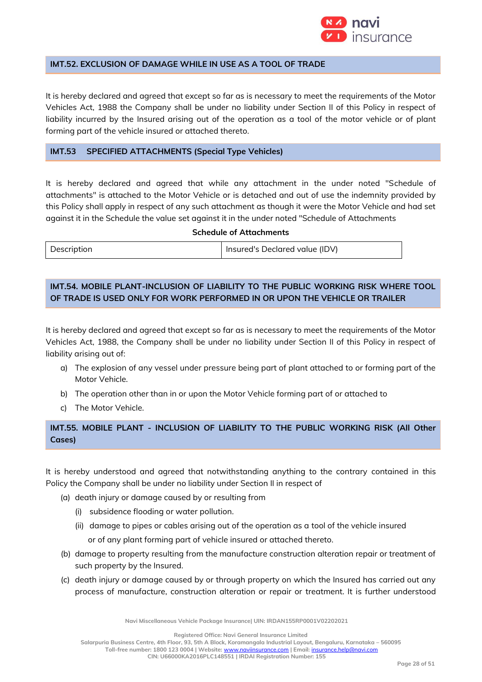

## **IMT.52. EXCLUSION OF DAMAGE WHILE IN USE AS A TOOL OF TRADE**

It is hereby declared and agreed that except so far as is necessary to meet the requirements of the Motor Vehicles Act, 1988 the Company shall be under no liability under Section II of this Policy in respect of liability incurred by the Insured arising out of the operation as a tool of the motor vehicle or of plant forming part of the vehicle insured or attached thereto.

### **IMT.53 SPECIFIED ATTACHMENTS (Special Type Vehicles)**

It is hereby declared and agreed that while any attachment in the under noted "Schedule of attachments" is attached to the Motor Vehicle or is detached and out of use the indemnity provided by this Policy shall apply in respect of any such attachment as though it were the Motor Vehicle and had set against it in the Schedule the value set against it in the under noted "Schedule of Attachments

#### **Schedule of Attachments**

| Description | Insured's Declared value (IDV) |
|-------------|--------------------------------|

## **IMT.54. MOBILE PLANT-INCLUSION OF LIABILITY TO THE PUBLIC WORKING RISK WHERE TOOL OF TRADE IS USED ONLY FOR WORK PERFORMED IN OR UPON THE VEHICLE OR TRAILER**

It is hereby declared and agreed that except so far as is necessary to meet the requirements of the Motor Vehicles Act, 1988, the Company shall be under no liability under Section II of this Policy in respect of liability arising out of:

- a) The explosion of any vessel under pressure being part of plant attached to or forming part of the Motor Vehicle.
- b) The operation other than in or upon the Motor Vehicle forming part of or attached to
- c) The Motor Vehicle.

## **IMT.55. MOBILE PLANT - INCLUSION OF LIABILITY TO THE PUBLIC WORKING RISK (All Other Cases)**

It is hereby understood and agreed that notwithstanding anything to the contrary contained in this Policy the Company shall be under no liability under Section II in respect of

- (a) death injury or damage caused by or resulting from
	- (i) subsidence flooding or water pollution.
	- (ii) damage to pipes or cables arising out of the operation as a tool of the vehicle insured or of any plant forming part of vehicle insured or attached thereto.
- (b) damage to property resulting from the manufacture construction alteration repair or treatment of such property by the Insured.
- (c) death injury or damage caused by or through property on which the Insured has carried out any process of manufacture, construction alteration or repair or treatment. It is further understood

**Navi Miscellaneous Vehicle Package Insurance| UIN: IRDAN155RP0001V02202021**

**Registered Office: Navi General Insurance Limited**

**Salarpuria Business Centre, 4th Floor, 93, 5th A Block, Koramangala Industrial Layout, Bengaluru, Karnataka – 560095**

**Toll-free number: 1800 123 0004 | Website:** [www.naviinsurance.com](http://www.naviinsurance.com/) **| Email:** [insurance.help@navi.com](mailto:insurance.help@navi.com)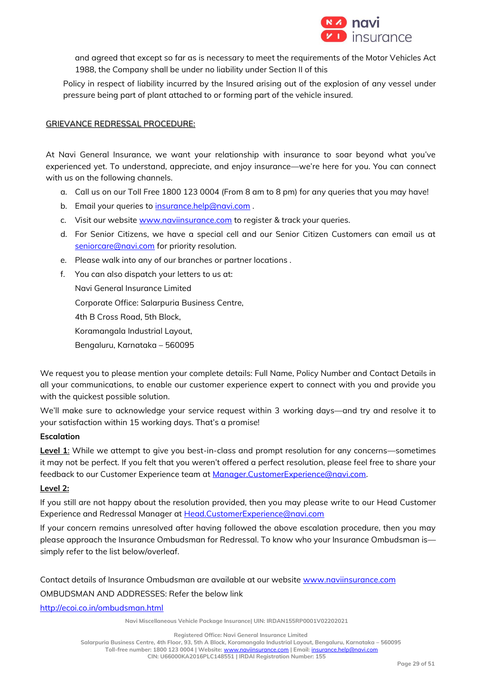

and agreed that except so far as is necessary to meet the requirements of the Motor Vehicles Act 1988, the Company shall be under no liability under Section II of this

Policy in respect of liability incurred by the Insured arising out of the explosion of any vessel under pressure being part of plant attached to or forming part of the vehicle insured.

## GRIEVANCE REDRESSAL PROCEDURE:

At Navi General Insurance, we want your relationship with insurance to soar beyond what you've experienced yet. To understand, appreciate, and enjoy insurance—we're here for you. You can connect with us on the following channels.

- a. Call us on our Toll Free 1800 123 0004 (From 8 am to 8 pm) for any queries that you may have!
- b. Email your queries to [insurance.help@navi.com](mailto:insurance.help@navi.com).
- c. Visit our website [www.naviinsurance.com](http://www.naviinsurance.com/) to register & track your queries.
- d. For Senior Citizens, we have a special cell and our Senior Citizen Customers can email us at [seniorcare@navi.com](mailto:seniorcare@navi.com) for priority resolution.
- e. Please walk into any of our branches or partner locations .
- f. You can also dispatch your letters to us at: Navi General Insurance Limited Corporate Office: Salarpuria Business Centre, 4th B Cross Road, 5th Block, Koramangala Industrial Layout, Bengaluru, Karnataka – 560095

We request you to please mention your complete details: Full Name, Policy Number and Contact Details in all your communications, to enable our customer experience expert to connect with you and provide you with the quickest possible solution.

We'll make sure to acknowledge your service request within 3 working days—and try and resolve it to your satisfaction within 15 working days. That's a promise!

## **Escalation**

**Level 1**: While we attempt to give you best-in-class and prompt resolution for any concerns—sometimes it may not be perfect. If you felt that you weren't offered a perfect resolution, please feel free to share your feedback to our Customer Experience team at [Manager.CustomerExperience@navi.com.](mailto:Manager.CustomerExperience@navi.com)

## **Level 2:**

If you still are not happy about the resolution provided, then you may please write to our Head Customer Experience and Redressal Manager at Head.CustomerExperience@navi.com

If your concern remains unresolved after having followed the above escalation procedure, then you may please approach the Insurance Ombudsman for Redressal. To know who your Insurance Ombudsman is simply refer to the list below/overleaf.

#### Contact details of Insurance Ombudsman are available at our website [www.naviinsurance.com](http://www.naviinsurance.com/)

## OMBUDSMAN AND ADDRESSES: Refer the below link

<http://ecoi.co.in/ombudsman.html>

**Navi Miscellaneous Vehicle Package Insurance| UIN: IRDAN155RP0001V02202021**

**Registered Office: Navi General Insurance Limited**

**Salarpuria Business Centre, 4th Floor, 93, 5th A Block, Koramangala Industrial Layout, Bengaluru, Karnataka – 560095**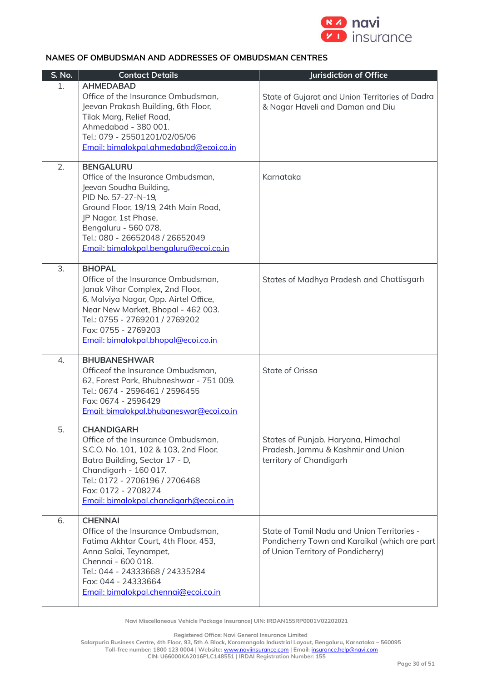

## **NAMES OF OMBUDSMAN AND ADDRESSES OF OMBUDSMAN CENTRES**

| S. No. | <b>Contact Details</b>                                                                                                                                                                                                                                                        | Jurisdiction of Office                                                                                                             |
|--------|-------------------------------------------------------------------------------------------------------------------------------------------------------------------------------------------------------------------------------------------------------------------------------|------------------------------------------------------------------------------------------------------------------------------------|
| 1.     | <b>AHMEDABAD</b><br>Office of the Insurance Ombudsman,<br>Jeevan Prakash Building, 6th Floor,<br>Tilak Marg, Relief Road,<br>Ahmedabad - 380 001.<br>Tel.: 079 - 25501201/02/05/06<br>Email: bimalokpal.ahmedabad@ecoi.co.in                                                  | State of Gujarat and Union Territories of Dadra<br>& Nagar Haveli and Daman and Diu                                                |
| 2.     | <b>BENGALURU</b><br>Office of the Insurance Ombudsman,<br>Jeevan Soudha Building,<br>PID No. 57-27-N-19,<br>Ground Floor, 19/19, 24th Main Road,<br>JP Nagar, 1st Phase,<br>Bengaluru - 560 078.<br>Tel.: 080 - 26652048 / 26652049<br>Email: bimalokpal.bengaluru@ecoi.co.in | Karnataka                                                                                                                          |
| 3.     | <b>BHOPAL</b><br>Office of the Insurance Ombudsman,<br>Janak Vihar Complex, 2nd Floor,<br>6, Malviya Nagar, Opp. Airtel Office,<br>Near New Market, Bhopal - 462 003.<br>Tel.: 0755 - 2769201 / 2769202<br>Fax: 0755 - 2769203<br>Email: bimalokpal.bhopal@ecoi.co.in         | States of Madhya Pradesh and Chattisgarh                                                                                           |
| 4.     | <b>BHUBANESHWAR</b><br>Officeof the Insurance Ombudsman,<br>62, Forest Park, Bhubneshwar - 751 009.<br>Tel.: 0674 - 2596461 / 2596455<br>Fax: 0674 - 2596429<br>Email: bimalokpal.bhubaneswar@ecoi.co.in                                                                      | State of Orissa                                                                                                                    |
| 5.     | <b>CHANDIGARH</b><br>Office of the Insurance Ombudsman,<br>S.C.O. No. 101, 102 & 103, 2nd Floor,<br>Batra Building, Sector 17 - D,<br>Chandigarh - 160 017.<br>Tel.: 0172 - 2706196 / 2706468<br>Fax: 0172 - 2708274<br>Email: bimalokpal.chandigarh@ecoi.co.in               | States of Punjab, Haryana, Himachal<br>Pradesh, Jammu & Kashmir and Union<br>territory of Chandigarh                               |
| 6.     | <b>CHENNAI</b><br>Office of the Insurance Ombudsman,<br>Fatima Akhtar Court, 4th Floor, 453,<br>Anna Salai, Teynampet,<br>Chennai - 600 018.<br>Tel.: 044 - 24333668 / 24335284<br>Fax: 044 - 24333664<br>Email: bimalokpal.chennai@ecoi.co.in                                | State of Tamil Nadu and Union Territories -<br>Pondicherry Town and Karaikal (which are part<br>of Union Territory of Pondicherry) |

**Navi Miscellaneous Vehicle Package Insurance| UIN: IRDAN155RP0001V02202021**

**Registered Office: Navi General Insurance Limited**

**Salarpuria Business Centre, 4th Floor, 93, 5th A Block, Koramangala Industrial Layout, Bengaluru, Karnataka – 560095**

**Toll-free number: 1800 123 0004 | Website:** [www.naviinsurance.com](http://www.naviinsurance.com/) **| Email:** [insurance.help@navi.com](mailto:insurance.help@navi.com)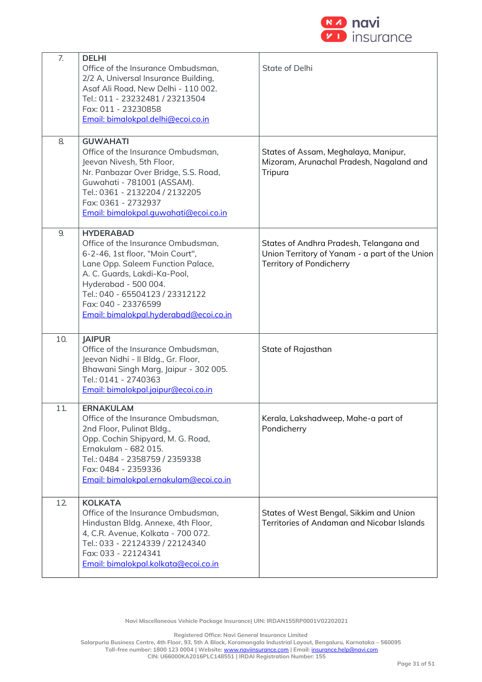

| 7.  | <b>DELHI</b><br>Office of the Insurance Ombudsman,<br>2/2 A, Universal Insurance Building,<br>Asaf Ali Road, New Delhi - 110 002.<br>Tel.: 011 - 23232481 / 23213504<br>Fax: 011 - 23230858<br>Email: bimalokpal.delhi@ecoi.co.in                                                           | State of Delhi                                                                                                        |
|-----|---------------------------------------------------------------------------------------------------------------------------------------------------------------------------------------------------------------------------------------------------------------------------------------------|-----------------------------------------------------------------------------------------------------------------------|
| 8.  | <b>GUWAHATI</b><br>Office of the Insurance Ombudsman,<br>Jeevan Nivesh, 5th Floor,<br>Nr. Panbazar Over Bridge, S.S. Road,<br>Guwahati - 781001 (ASSAM).<br>Tel.: 0361 - 2132204 / 2132205<br>Fax: 0361 - 2732937<br>Email: bimalokpal.quwahati@ecoi.co.in                                  | States of Assam, Meghalaya, Manipur,<br>Mizoram, Arunachal Pradesh, Nagaland and<br>Tripura                           |
| 9.  | <b>HYDERABAD</b><br>Office of the Insurance Ombudsman,<br>6-2-46, 1st floor, "Moin Court",<br>Lane Opp. Saleem Function Palace,<br>A. C. Guards, Lakdi-Ka-Pool,<br>Hyderabad - 500 004.<br>Tel.: 040 - 65504123 / 23312122<br>Fax: 040 - 23376599<br>Email: bimalokpal.hyderabad@ecoi.co.in | States of Andhra Pradesh, Telangana and<br>Union Territory of Yanam - a part of the Union<br>Territory of Pondicherry |
| 10. | <b>JAIPUR</b><br>Office of the Insurance Ombudsman,<br>Jeevan Nidhi - Il Bldg., Gr. Floor,<br>Bhawani Singh Marg, Jaipur - 302 005.<br>Tel.: 0141 - 2740363<br>Email: bimalokpal.jaipur@ecoi.co.in                                                                                          | State of Rajasthan                                                                                                    |
| 11. | <b>ERNAKULAM</b><br>Office of the Insurance Ombudsman,<br>2nd Floor, Pulinat Bldg.,<br>Opp. Cochin Shipyard, M. G. Road,<br>Ernakulam - 682 015.<br>Tel.: 0484 - 2358759 / 2359338<br>Fax: 0484 - 2359336<br>Email: bimalokpal.ernakulam@ecoi.co.in                                         | Kerala, Lakshadweep, Mahe-a part of<br>Pondicherry                                                                    |
| 12  | <b>KOLKATA</b><br>Office of the Insurance Ombudsman,<br>Hindustan Bldg. Annexe, 4th Floor,<br>4, C.R. Avenue, Kolkata - 700 072.<br>Tel.: 033 - 22124339 / 22124340<br>Fax: 033 - 22124341<br>Email: bimalokpal.kolkata@ecoi.co.in                                                          | States of West Bengal, Sikkim and Union<br>Territories of Andaman and Nicobar Islands                                 |

**Navi Miscellaneous Vehicle Package Insurance| UIN: IRDAN155RP0001V02202021**

**Registered Office: Navi General Insurance Limited**

**Salarpuria Business Centre, 4th Floor, 93, 5th A Block, Koramangala Industrial Layout, Bengaluru, Karnataka – 560095**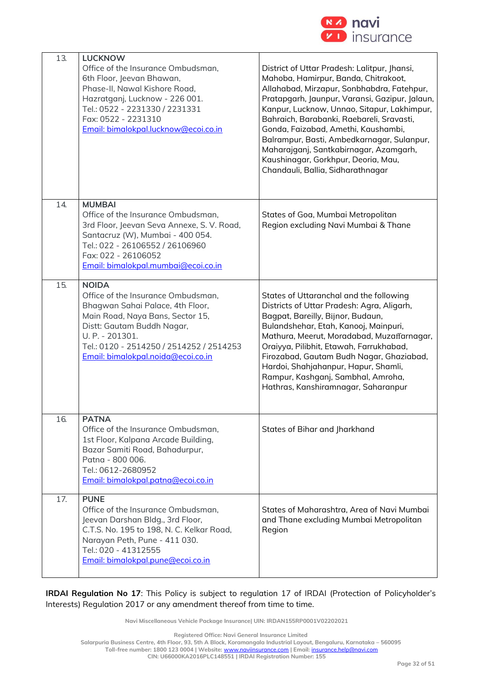

| 13. | <b>LUCKNOW</b><br>Office of the Insurance Ombudsman,<br>6th Floor, Jeevan Bhawan,<br>Phase-II, Nawal Kishore Road,<br>Hazratganj, Lucknow - 226 001.<br>Tel.: 0522 - 2231330 / 2231331<br>Fax: 0522 - 2231310<br>Email: bimalokpal.lucknow@ecoi.co.in         | District of Uttar Pradesh: Lalitpur, Jhansi,<br>Mahoba, Hamirpur, Banda, Chitrakoot,<br>Allahabad, Mirzapur, Sonbhabdra, Fatehpur,<br>Pratapgarh, Jaunpur, Varansi, Gazipur, Jalaun,<br>Kanpur, Lucknow, Unnao, Sitapur, Lakhimpur,<br>Bahraich, Barabanki, Raebareli, Sravasti,<br>Gonda, Faizabad, Amethi, Kaushambi,<br>Balrampur, Basti, Ambedkarnagar, Sulanpur,<br>Maharajganj, Santkabirnagar, Azamgarh,<br>Kaushinagar, Gorkhpur, Deoria, Mau,<br>Chandauli, Ballia, Sidharathnagar |
|-----|---------------------------------------------------------------------------------------------------------------------------------------------------------------------------------------------------------------------------------------------------------------|---------------------------------------------------------------------------------------------------------------------------------------------------------------------------------------------------------------------------------------------------------------------------------------------------------------------------------------------------------------------------------------------------------------------------------------------------------------------------------------------|
| 14. | <b>MUMBAI</b><br>Office of the Insurance Ombudsman,<br>3rd Floor, Jeevan Seva Annexe, S. V. Road,<br>Santacruz (W), Mumbai - 400 054.<br>Tel.: 022 - 26106552 / 26106960<br>Fax: 022 - 26106052<br>Email: bimalokpal.mumbai@ecoi.co.in                        | States of Goa, Mumbai Metropolitan<br>Region excluding Navi Mumbai & Thane                                                                                                                                                                                                                                                                                                                                                                                                                  |
| 15. | <b>NOIDA</b><br>Office of the Insurance Ombudsman,<br>Bhagwan Sahai Palace, 4th Floor,<br>Main Road, Naya Bans, Sector 15,<br>Distt: Gautam Buddh Nagar,<br>U. P. - 201301.<br>Tel.: 0120 - 2514250 / 2514252 / 2514253<br>Email: bimalokpal.noida@ecoi.co.in | States of Uttaranchal and the following<br>Districts of Uttar Pradesh: Agra, Aligarh,<br>Bagpat, Bareilly, Bijnor, Budaun,<br>Bulandshehar, Etah, Kanooj, Mainpuri,<br>Mathura, Meerut, Moradabad, Muzaffarnagar,<br>Oraiyya, Pilibhit, Etawah, Farrukhabad,<br>Firozabad, Gautam Budh Nagar, Ghaziabad,<br>Hardoi, Shahjahanpur, Hapur, Shamli,<br>Rampur, Kashganj, Sambhal, Amroha,<br>Hathras, Kanshiramnagar, Saharanpur                                                               |
| 16. | <b>PATNA</b><br>Office of the Insurance Ombudsman,<br>1st Floor, Kalpana Arcade Building,<br>Bazar Samiti Road, Bahadurpur,<br>Patna - 800 006.<br>Tel.: 0612-2680952<br>Email: bimalokpal.patna@ecoi.co.in                                                   | States of Bihar and Jharkhand                                                                                                                                                                                                                                                                                                                                                                                                                                                               |
| 17. | <b>PUNE</b><br>Office of the Insurance Ombudsman,<br>Jeevan Darshan Bldg., 3rd Floor,<br>C.T.S. No. 195 to 198, N. C. Kelkar Road,<br>Narayan Peth, Pune - 411 030.<br>Tel.: 020 - 41312555<br>Email: bimalokpal.pune@ecoi.co.in                              | States of Maharashtra, Area of Navi Mumbai<br>and Thane excluding Mumbai Metropolitan<br>Region                                                                                                                                                                                                                                                                                                                                                                                             |

**IRDAI Regulation No 17**: This Policy is subject to regulation 17 of IRDAI (Protection of Policyholder's Interests) Regulation 2017 or any amendment thereof from time to time.

**Navi Miscellaneous Vehicle Package Insurance| UIN: IRDAN155RP0001V02202021**

**Registered Office: Navi General Insurance Limited**

**Salarpuria Business Centre, 4th Floor, 93, 5th A Block, Koramangala Industrial Layout, Bengaluru, Karnataka – 560095**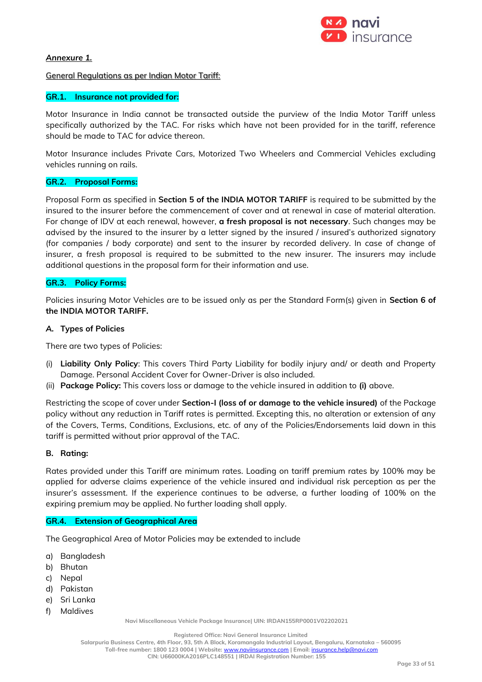

### *Annexure 1.*

#### General Regulations as per Indian Motor Tariff:

### **GR.1. Insurance not provided for:**

Motor Insurance in India cannot be transacted outside the purview of the India Motor Tariff unless specifically authorized by the TAC. For risks which have not been provided for in the tariff, reference should be made to TAC for advice thereon.

Motor Insurance includes Private Cars, Motorized Two Wheelers and Commercial Vehicles excluding vehicles running on rails.

## **GR.2. Proposal Forms:**

Proposal Form as specified in **Section 5 of the INDIA MOTOR TARIFF** is required to be submitted by the insured to the insurer before the commencement of cover and at renewal in case of material alteration. For change of IDV at each renewal, however, **a fresh proposal is not necessary**. Such changes may be advised by the insured to the insurer by a letter signed by the insured / insured's authorized signatory (for companies / body corporate) and sent to the insurer by recorded delivery. In case of change of insurer, a fresh proposal is required to be submitted to the new insurer. The insurers may include additional questions in the proposal form for their information and use.

#### **GR.3. Policy Forms:**

Policies insuring Motor Vehicles are to be issued only as per the Standard Form(s) given in **Section 6 of the INDIA MOTOR TARIFF.**

### *A.* **Types of Policies**

There are two types of Policies:

- (i) **Liability Only Policy**: This covers Third Party Liability for bodily injury and/ or death and Property Damage. Personal Accident Cover for Owner-Driver is also included.
- (ii) **Package Policy:** This covers loss or damage to the vehicle insured in addition to **(i)** above.

Restricting the scope of cover under **Section-I (loss of or damage to the vehicle insured)** of the Package policy without any reduction in Tariff rates is permitted. Excepting this, no alteration or extension of any of the Covers, Terms, Conditions, Exclusions, etc. of any of the Policies/Endorsements laid down in this tariff is permitted without prior approval of the TAC.

#### **B. Rating:**

Rates provided under this Tariff are minimum rates. Loading on tariff premium rates by 100% may be applied for adverse claims experience of the vehicle insured and individual risk perception as per the insurer's assessment. If the experience continues to be adverse, a further loading of 100% on the expiring premium may be applied. No further loading shall apply.

#### **GR.4. Extension of Geographical Area**

The Geographical Area of Motor Policies may be extended to include

- a) Bangladesh
- b) Bhutan
- c) Nepal
- d) Pakistan
- e) Sri Lanka
- f) Maldives

**Navi Miscellaneous Vehicle Package Insurance| UIN: IRDAN155RP0001V02202021**

**Registered Office: Navi General Insurance Limited**

**Salarpuria Business Centre, 4th Floor, 93, 5th A Block, Koramangala Industrial Layout, Bengaluru, Karnataka – 560095**

**Toll-free number: 1800 123 0004 | Website:** [www.naviinsurance.com](http://www.naviinsurance.com/) **| Email:** [insurance.help@navi.com](mailto:insurance.help@navi.com) **CIN: U66000KA2016PLC148551 | IRDAI Registration Number: 155**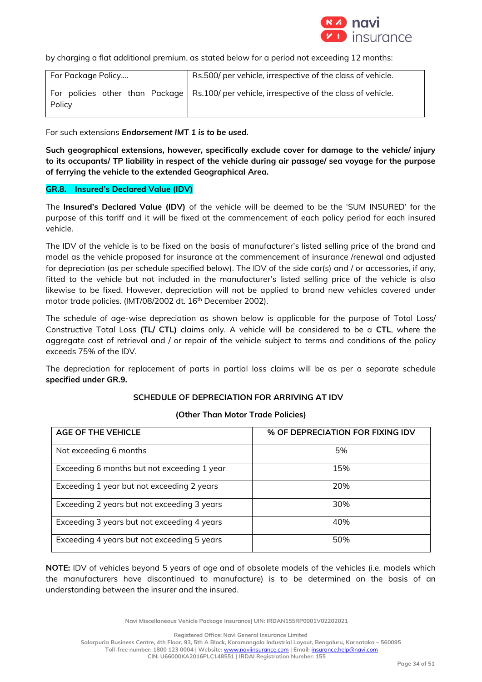

by charging a flat additional premium, as stated below for a period not exceeding 12 months:

| For Package Policy | Rs.500/ per vehicle, irrespective of the class of vehicle.                                 |
|--------------------|--------------------------------------------------------------------------------------------|
| Policy             | For policies other than Package Rs.100/ per vehicle, irrespective of the class of vehicle. |

For such extensions *Endorsement IMT 1 is to be used.*

**Such geographical extensions, however, specifically exclude cover for damage to the vehicle/ injury to its occupants/ TP liability in respect of the vehicle during air passage/ sea voyage for the purpose of ferrying the vehicle to the extended Geographical Area.** 

### **GR.8. Insured's Declared Value (IDV)**

The **Insured's Declared Value (IDV)** of the vehicle will be deemed to be the 'SUM INSURED' for the purpose of this tariff and it will be fixed at the commencement of each policy period for each insured vehicle.

The IDV of the vehicle is to be fixed on the basis of manufacturer's listed selling price of the brand and model as the vehicle proposed for insurance at the commencement of insurance /renewal and adjusted for depreciation (as per schedule specified below). The IDV of the side car(s) and / or accessories, if any, fitted to the vehicle but not included in the manufacturer's listed selling price of the vehicle is also likewise to be fixed. However, depreciation will not be applied to brand new vehicles covered under motor trade policies. (IMT/08/2002 dt. 16<sup>th</sup> December 2002).

The schedule of age-wise depreciation as shown below is applicable for the purpose of Total Loss/ Constructive Total Loss **(TL/ CTL)** claims only. A vehicle will be considered to be a **CTL**, where the aggregate cost of retrieval and / or repair of the vehicle subject to terms and conditions of the policy exceeds 75% of the IDV.

The depreciation for replacement of parts in partial loss claims will be as per a separate schedule **specified under GR.9.** 

## **SCHEDULE OF DEPRECIATION FOR ARRIVING AT IDV**

| <b>AGE OF THE VEHICLE</b>                   | % OF DEPRECIATION FOR FIXING IDV |
|---------------------------------------------|----------------------------------|
| Not exceeding 6 months                      | 5%                               |
| Exceeding 6 months but not exceeding 1 year | 15%                              |
| Exceeding 1 year but not exceeding 2 years  | 20%                              |
| Exceeding 2 years but not exceeding 3 years | 30%                              |
| Exceeding 3 years but not exceeding 4 years | 40%                              |
| Exceeding 4 years but not exceeding 5 years | 50%                              |

## **(Other Than Motor Trade Policies)**

**NOTE:** IDV of vehicles beyond 5 years of age and of obsolete models of the vehicles (i.e. models which the manufacturers have discontinued to manufacture) is to be determined on the basis of an understanding between the insurer and the insured.

**Navi Miscellaneous Vehicle Package Insurance| UIN: IRDAN155RP0001V02202021**

**Registered Office: Navi General Insurance Limited**

**Salarpuria Business Centre, 4th Floor, 93, 5th A Block, Koramangala Industrial Layout, Bengaluru, Karnataka – 560095**

**Toll-free number: 1800 123 0004 | Website:** [www.naviinsurance.com](http://www.naviinsurance.com/) **| Email:** [insurance.help@navi.com](mailto:insurance.help@navi.com)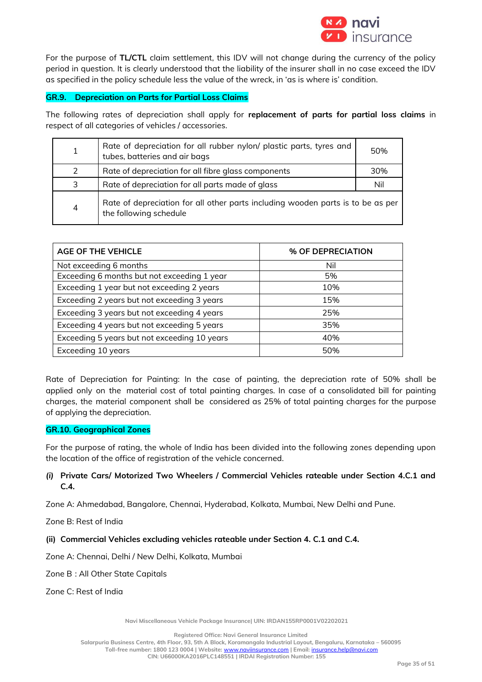

For the purpose of **TL/CTL** claim settlement, this IDV will not change during the currency of the policy period in question. It is clearly understood that the liability of the insurer shall in no case exceed the IDV as specified in the policy schedule less the value of the wreck, in 'as is where is' condition.

## **GR.9. Depreciation on Parts for Partial Loss Claims**

The following rates of depreciation shall apply for **replacement of parts for partial loss claims** in respect of all categories of vehicles / accessories.

|                | Rate of depreciation for all rubber nylon/ plastic parts, tyres and<br>tubes, batteries and air bags      | 50% |
|----------------|-----------------------------------------------------------------------------------------------------------|-----|
| $\mathcal{L}$  | Rate of depreciation for all fibre glass components                                                       | 30% |
| 3              | Rate of depreciation for all parts made of glass                                                          | Nil |
| $\overline{4}$ | Rate of depreciation for all other parts including wooden parts is to be as per<br>the following schedule |     |

| <b>AGE OF THE VEHICLE</b>                    | % OF DEPRECIATION |
|----------------------------------------------|-------------------|
| Not exceeding 6 months                       | Nil               |
| Exceeding 6 months but not exceeding 1 year  | 5%                |
| Exceeding 1 year but not exceeding 2 years   | 10%               |
| Exceeding 2 years but not exceeding 3 years  | 15%               |
| Exceeding 3 years but not exceeding 4 years  | 25%               |
| Exceeding 4 years but not exceeding 5 years  | 35%               |
| Exceeding 5 years but not exceeding 10 years | 40%               |
| Exceeding 10 years                           | 50%               |

Rate of Depreciation for Painting: In the case of painting, the depreciation rate of 50% shall be applied only on the material cost of total painting charges. In case of a consolidated bill for painting charges, the material component shall be considered as 25% of total painting charges for the purpose of applying the depreciation.

## **GR.10. Geographical Zones**

For the purpose of rating, the whole of India has been divided into the following zones depending upon the location of the office of registration of the vehicle concerned.

## *(i)* **Private Cars/ Motorized Two Wheelers / Commercial Vehicles rateable under Section 4.C.1 and C.4***.*

Zone A: Ahmedabad, Bangalore, Chennai, Hyderabad, Kolkata, Mumbai, New Delhi and Pune.

Zone B: Rest of India

**(ii) Commercial Vehicles excluding vehicles rateable under Section 4. C.1 and C.4.**

Zone A: Chennai, Delhi / New Delhi, Kolkata, Mumbai

Zone B : All Other State Capitals

Zone C: Rest of India

**Navi Miscellaneous Vehicle Package Insurance| UIN: IRDAN155RP0001V02202021**

**Registered Office: Navi General Insurance Limited**

**Salarpuria Business Centre, 4th Floor, 93, 5th A Block, Koramangala Industrial Layout, Bengaluru, Karnataka – 560095**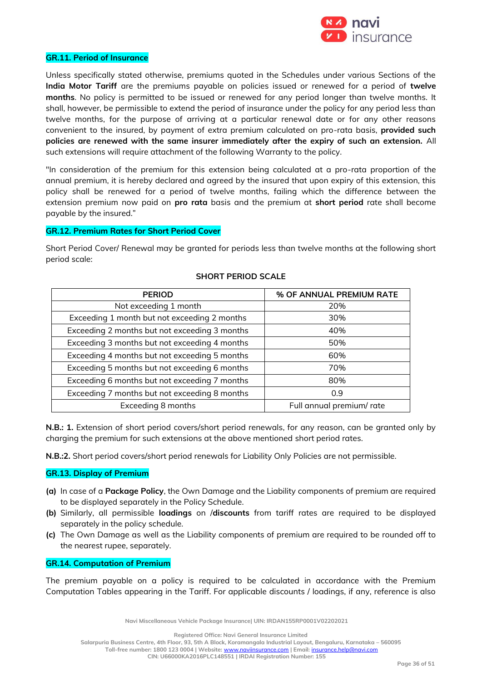

#### **GR.11. Period of Insurance**

Unless specifically stated otherwise, premiums quoted in the Schedules under various Sections of the **India Motor Tariff** are the premiums payable on policies issued or renewed for a period of **twelve months**. No policy is permitted to be issued or renewed for any period longer than twelve months. It shall, however, be permissible to extend the period of insurance under the policy for any period less than twelve months, for the purpose of arriving at a particular renewal date or for any other reasons convenient to the insured, by payment of extra premium calculated on pro-rata basis, **provided such policies are renewed with the same insurer immediately after the expiry of such an extension.** All such extensions will require attachment of the following Warranty to the policy.

"In consideration of the premium for this extension being calculated at a pro-rata proportion of the annual premium, it is hereby declared and agreed by the insured that upon expiry of this extension, this policy shall be renewed for a period of twelve months, failing which the difference between the extension premium now paid on **pro rata** basis and the premium at **short period** rate shall become payable by the insured."

### **GR.12. Premium Rates for Short Period Cover**

Short Period Cover/ Renewal may be granted for periods less than twelve months at the following short period scale:

| <b>PERIOD</b>                                 | % OF ANNUAL PREMIUM RATE  |
|-----------------------------------------------|---------------------------|
| Not exceeding 1 month                         | 20%                       |
| Exceeding 1 month but not exceeding 2 months  | 30%                       |
| Exceeding 2 months but not exceeding 3 months | 40%                       |
| Exceeding 3 months but not exceeding 4 months | 50%                       |
| Exceeding 4 months but not exceeding 5 months | 60%                       |
| Exceeding 5 months but not exceeding 6 months | 70%                       |
| Exceeding 6 months but not exceeding 7 months | 80%                       |
| Exceeding 7 months but not exceeding 8 months | 0.9                       |
| Exceeding 8 months                            | Full annual premium/ rate |

#### **SHORT PERIOD SCALE**

**N.B.: 1.** Extension of short period covers/short period renewals, for any reason, can be granted only by charging the premium for such extensions at the above mentioned short period rates.

**N.B.:2.** Short period covers/short period renewals for Liability Only Policies are not permissible.

#### **GR.13. Display of Premium**

- **(a)** In case of a **Package Policy**, the Own Damage and the Liability components of premium are required to be displayed separately in the Policy Schedule.
- **(b)** Similarly, all permissible **loadings** on /**discounts** from tariff rates are required to be displayed separately in the policy schedule.
- **(c)** The Own Damage as well as the Liability components of premium are required to be rounded off to the nearest rupee, separately.

### **GR.14. Computation of Premium**

The premium payable on a policy is required to be calculated in accordance with the Premium Computation Tables appearing in the Tariff. For applicable discounts / loadings, if any, reference is also

**Navi Miscellaneous Vehicle Package Insurance| UIN: IRDAN155RP0001V02202021**

**Registered Office: Navi General Insurance Limited**

**Salarpuria Business Centre, 4th Floor, 93, 5th A Block, Koramangala Industrial Layout, Bengaluru, Karnataka – 560095**

**Toll-free number: 1800 123 0004 | Website:** [www.naviinsurance.com](http://www.naviinsurance.com/) **| Email:** [insurance.help@navi.com](mailto:insurance.help@navi.com)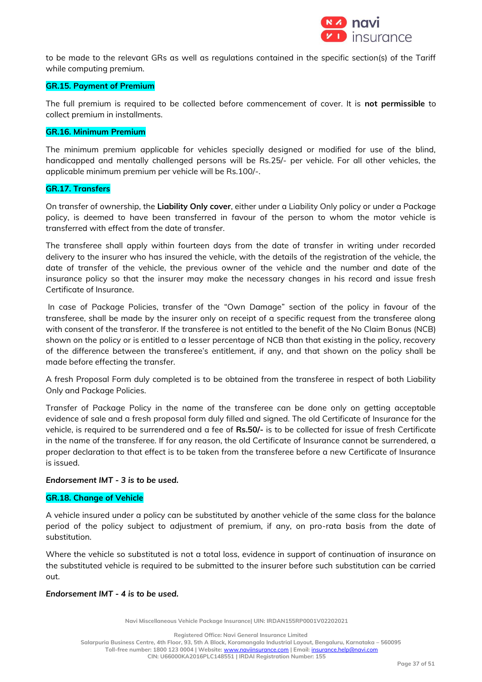

to be made to the relevant GRs as well as regulations contained in the specific section(s) of the Tariff while computing premium.

## **GR.15. Payment of Premium**

The full premium is required to be collected before commencement of cover. It is **not permissible** to collect premium in installments.

### **GR.16. Minimum Premium**

The minimum premium applicable for vehicles specially designed or modified for use of the blind, handicapped and mentally challenged persons will be Rs.25/- per vehicle. For all other vehicles, the applicable minimum premium per vehicle will be Rs.100/-.

### **GR.17. Transfers**

On transfer of ownership, the **Liability Only cover**, either under a Liability Only policy or under a Package policy, is deemed to have been transferred in favour of the person to whom the motor vehicle is transferred with effect from the date of transfer.

The transferee shall apply within fourteen days from the date of transfer in writing under recorded delivery to the insurer who has insured the vehicle, with the details of the registration of the vehicle, the date of transfer of the vehicle, the previous owner of the vehicle and the number and date of the insurance policy so that the insurer may make the necessary changes in his record and issue fresh Certificate of Insurance.

In case of Package Policies, transfer of the "Own Damage" section of the policy in favour of the transferee, shall be made by the insurer only on receipt of a specific request from the transferee along with consent of the transferor. If the transferee is not entitled to the benefit of the No Claim Bonus (NCB) shown on the policy or is entitled to a lesser percentage of NCB than that existing in the policy, recovery of the difference between the transferee's entitlement, if any, and that shown on the policy shall be made before effecting the transfer.

A fresh Proposal Form duly completed is to be obtained from the transferee in respect of both Liability Only and Package Policies.

Transfer of Package Policy in the name of the transferee can be done only on getting acceptable evidence of sale and a fresh proposal form duly filled and signed. The old Certificate of Insurance for the vehicle, is required to be surrendered and a fee of **Rs.50/-** is to be collected for issue of fresh Certificate in the name of the transferee. If for any reason, the old Certificate of Insurance cannot be surrendered, a proper declaration to that effect is to be taken from the transferee before a new Certificate of Insurance is issued.

#### *Endorsement IMT - 3 is to be used.*

#### **GR.18. Change of Vehicle**

A vehicle insured under a policy can be substituted by another vehicle of the same class for the balance period of the policy subject to adjustment of premium, if any, on pro-rata basis from the date of substitution.

Where the vehicle so substituted is not a total loss, evidence in support of continuation of insurance on the substituted vehicle is required to be submitted to the insurer before such substitution can be carried out.

#### *Endorsement IMT - 4 is to be used.*

**Navi Miscellaneous Vehicle Package Insurance| UIN: IRDAN155RP0001V02202021**

**Registered Office: Navi General Insurance Limited**

**Salarpuria Business Centre, 4th Floor, 93, 5th A Block, Koramangala Industrial Layout, Bengaluru, Karnataka – 560095**

**Toll-free number: 1800 123 0004 | Website:** [www.naviinsurance.com](http://www.naviinsurance.com/) **| Email:** [insurance.help@navi.com](mailto:insurance.help@navi.com) **CIN: U66000KA2016PLC148551 | IRDAI Registration Number: 155**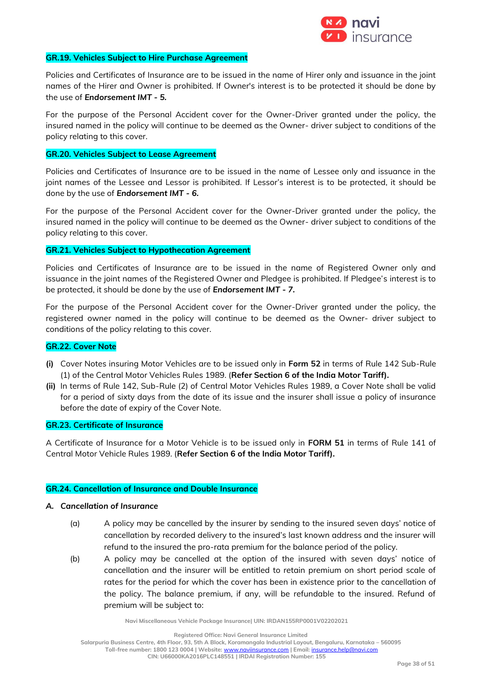

#### **GR.19. Vehicles Subject to Hire Purchase Agreement**

Policies and Certificates of Insurance are to be issued in the name of Hirer only and issuance in the joint names of the Hirer and Owner is prohibited. If Owner's interest is to be protected it should be done by the use of *Endorsement IMT - 5.*

For the purpose of the Personal Accident cover for the Owner-Driver granted under the policy, the insured named in the policy will continue to be deemed as the Owner- driver subject to conditions of the policy relating to this cover.

## **GR.20. Vehicles Subject to Lease Agreement**

Policies and Certificates of Insurance are to be issued in the name of Lessee only and issuance in the joint names of the Lessee and Lessor is prohibited. If Lessor's interest is to be protected, it should be done by the use of *Endorsement IMT - 6.*

For the purpose of the Personal Accident cover for the Owner-Driver granted under the policy, the insured named in the policy will continue to be deemed as the Owner- driver subject to conditions of the policy relating to this cover.

#### **GR.21. Vehicles Subject to Hypothecation Agreement**

Policies and Certificates of Insurance are to be issued in the name of Registered Owner only and issuance in the joint names of the Registered Owner and Pledgee is prohibited. If Pledgee's interest is to be protected, it should be done by the use of *Endorsement IMT - 7.* 

For the purpose of the Personal Accident cover for the Owner-Driver granted under the policy, the registered owner named in the policy will continue to be deemed as the Owner- driver subject to conditions of the policy relating to this cover.

#### **GR.22. Cover Note**

- **(i)** Cover Notes insuring Motor Vehicles are to be issued only in **Form 52** in terms of Rule 142 Sub-Rule (1) of the Central Motor Vehicles Rules 1989. (**Refer Section 6 of the India Motor Tariff).**
- **(ii)** In terms of Rule 142, Sub-Rule (2) of Central Motor Vehicles Rules 1989, a Cover Note shall be valid for a period of sixty days from the date of its issue and the insurer shall issue a policy of insurance before the date of expiry of the Cover Note.

#### **GR.23. Certificate of Insurance**

A Certificate of Insurance for a Motor Vehicle is to be issued only in **FORM 51** in terms of Rule 141 of Central Motor Vehicle Rules 1989. (**Refer Section 6 of the India Motor Tariff).**

#### **GR.24. Cancellation of Insurance and Double Insurance**

#### *A. Cancellation of Insurance*

- (a) A policy may be cancelled by the insurer by sending to the insured seven days' notice of cancellation by recorded delivery to the insured's last known address and the insurer will refund to the insured the pro-rata premium for the balance period of the policy.
- (b) A policy may be cancelled at the option of the insured with seven days' notice of cancellation and the insurer will be entitled to retain premium on short period scale of rates for the period for which the cover has been in existence prior to the cancellation of the policy. The balance premium, if any, will be refundable to the insured. Refund of premium will be subject to:

**Navi Miscellaneous Vehicle Package Insurance| UIN: IRDAN155RP0001V02202021**

**Registered Office: Navi General Insurance Limited**

**Salarpuria Business Centre, 4th Floor, 93, 5th A Block, Koramangala Industrial Layout, Bengaluru, Karnataka – 560095**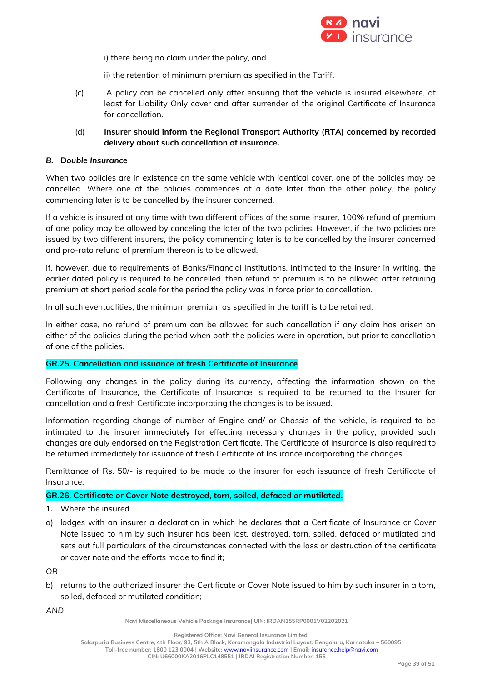

i) there being no claim under the policy, and

ii) the retention of minimum premium as specified in the Tariff.

- (c) A policy can be cancelled only after ensuring that the vehicle is insured elsewhere, at least for Liability Only cover and after surrender of the original Certificate of Insurance for cancellation.
- (d) **Insurer should inform the Regional Transport Authority (RTA) concerned by recorded delivery about such cancellation of insurance.**

### *B. Double Insurance*

When two policies are in existence on the same vehicle with identical cover, one of the policies may be cancelled. Where one of the policies commences at a date later than the other policy, the policy commencing later is to be cancelled by the insurer concerned.

If a vehicle is insured at any time with two different offices of the same insurer, 100% refund of premium of one policy may be allowed by canceling the later of the two policies. However, if the two policies are issued by two different insurers, the policy commencing later is to be cancelled by the insurer concerned and pro-rata refund of premium thereon is to be allowed.

If, however, due to requirements of Banks/Financial Institutions, intimated to the insurer in writing, the earlier dated policy is required to be cancelled, then refund of premium is to be allowed after retaining premium at short period scale for the period the policy was in force prior to cancellation.

In all such eventualities, the minimum premium as specified in the tariff is to be retained.

In either case, no refund of premium can be allowed for such cancellation if any claim has arisen on either of the policies during the period when both the policies were in operation, but prior to cancellation of one of the policies.

## **GR.25. Cancellation and issuance of fresh Certificate of Insurance**

Following any changes in the policy during its currency, affecting the information shown on the Certificate of Insurance, the Certificate of Insurance is required to be returned to the Insurer for cancellation and a fresh Certificate incorporating the changes is to be issued.

Information regarding change of number of Engine and/ or Chassis of the vehicle, is required to be intimated to the insurer immediately for effecting necessary changes in the policy, provided such changes are duly endorsed on the Registration Certificate. The Certificate of Insurance is also required to be returned immediately for issuance of fresh Certificate of Insurance incorporating the changes.

Remittance of Rs. 50/- is required to be made to the insurer for each issuance of fresh Certificate of Insurance.

#### **GR.26. Certificate or Cover Note destroyed, torn, soiled, defaced or mutilated.**

- **1.** Where the insured
- a) lodges with an insurer a declaration in which he declares that a Certificate of Insurance or Cover Note issued to him by such insurer has been lost, destroyed, torn, soiled, defaced or mutilated and sets out full particulars of the circumstances connected with the loss or destruction of the certificate or cover note and the efforts made to find it;

*OR*

b) returns to the authorized insurer the Certificate or Cover Note issued to him by such insurer in a torn, soiled, defaced or mutilated condition;

*AND*

**Navi Miscellaneous Vehicle Package Insurance| UIN: IRDAN155RP0001V02202021**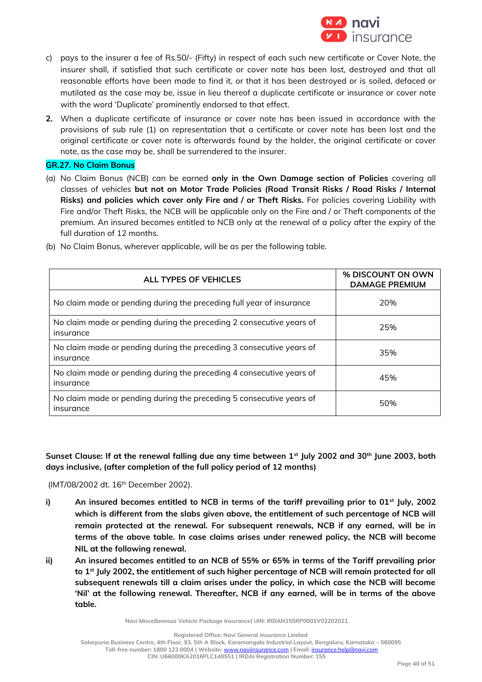

- c) pays to the insurer a fee of Rs.50/- (Fifty) in respect of each such new certificate or Cover Note, the insurer shall, if satisfied that such certificate or cover note has been lost, destroyed and that all reasonable efforts have been made to find it, or that it has been destroyed or is soiled, defaced or mutilated as the case may be, issue in lieu thereof a duplicate certificate or insurance or cover note with the word 'Duplicate' prominently endorsed to that effect.
- **2.** When a duplicate certificate of insurance or cover note has been issued in accordance with the provisions of sub rule (1) on representation that a certificate or cover note has been lost and the original certificate or cover note is afterwards found by the holder, the original certificate or cover note, as the case may be, shall be surrendered to the insurer.

## **GR.27. No Claim Bonus**

(a) No Claim Bonus (NCB) can be earned **only in the Own Damage section of Policies** covering all classes of vehicles **but not on Motor Trade Policies (Road Transit Risks / Road Risks / Internal Risks) and policies which cover only Fire and / or Theft Risks.** For policies covering Liability with Fire and/or Theft Risks, the NCB will be applicable only on the Fire and / or Theft components of the premium. An insured becomes entitled to NCB only at the renewal of a policy after the expiry of the full duration of 12 months.

| ALL TYPES OF VEHICLES                                                             | % DISCOUNT ON OWN<br><b>DAMAGE PREMIUM</b> |
|-----------------------------------------------------------------------------------|--------------------------------------------|
| No claim made or pending during the preceding full year of insurance              | 20%                                        |
| No claim made or pending during the preceding 2 consecutive years of<br>insurance | 25%                                        |
| No claim made or pending during the preceding 3 consecutive years of<br>insurance | 35%                                        |
| No claim made or pending during the preceding 4 consecutive years of<br>insurance | 45%                                        |
| No claim made or pending during the preceding 5 consecutive years of<br>insurance | 50%                                        |

(b) No Claim Bonus, wherever applicable, will be as per the following table.

**Sunset Clause: If at the renewal falling due any time between 1st July 2002 and 30th June 2003, both days inclusive, (after completion of the full policy period of 12 months)**

(IMT/08/2002 dt. 16<sup>th</sup> December 2002).

- **i) An insured becomes entitled to NCB in terms of the tariff prevailing prior to 01st July, 2002 which is different from the slabs given above, the entitlement of such percentage of NCB will remain protected at the renewal. For subsequent renewals, NCB if any earned, will be in terms of the above table. In case claims arises under renewed policy, the NCB will become NIL at the following renewal.**
- **ii) An insured becomes entitled to an NCB of 55% or 65% in terms of the Tariff prevailing prior to 1st July 2002, the entitlement of such higher percentage of NCB will remain protected for all subsequent renewals till a claim arises under the policy, in which case the NCB will become 'Nil' at the following renewal. Thereafter, NCB if any earned, will be in terms of the above table.**

**Navi Miscellaneous Vehicle Package Insurance| UIN: IRDAN155RP0001V02202021**

**Salarpuria Business Centre, 4th Floor, 93, 5th A Block, Koramangala Industrial Layout, Bengaluru, Karnataka – 560095**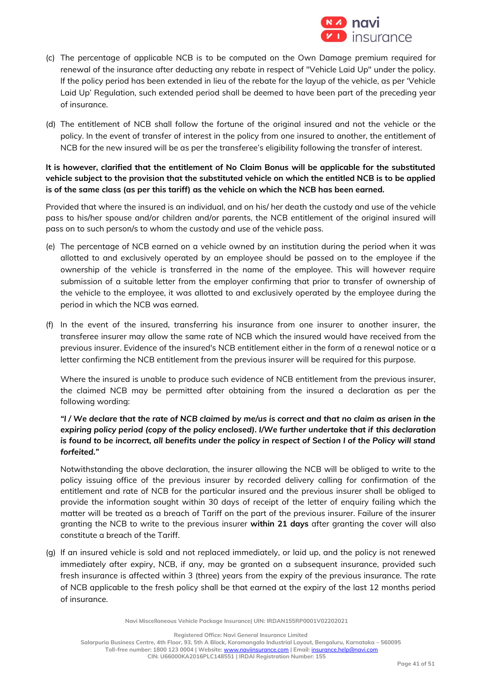

- (c) The percentage of applicable NCB is to be computed on the Own Damage premium required for renewal of the insurance after deducting any rebate in respect of "Vehicle Laid Up" under the policy. If the policy period has been extended in lieu of the rebate for the layup of the vehicle, as per 'Vehicle Laid Up' Regulation, such extended period shall be deemed to have been part of the preceding year of insurance.
- (d) The entitlement of NCB shall follow the fortune of the original insured and not the vehicle or the policy. In the event of transfer of interest in the policy from one insured to another, the entitlement of NCB for the new insured will be as per the transferee's eligibility following the transfer of interest.

**It is however, clarified that the entitlement of No Claim Bonus will be applicable for the substituted vehicle subject to the provision that the substituted vehicle on which the entitled NCB is to be applied is of the same class (as per this tariff) as the vehicle on which the NCB has been earned.** 

Provided that where the insured is an individual, and on his/ her death the custody and use of the vehicle pass to his/her spouse and/or children and/or parents, the NCB entitlement of the original insured will pass on to such person/s to whom the custody and use of the vehicle pass.

- (e) The percentage of NCB earned on a vehicle owned by an institution during the period when it was allotted to and exclusively operated by an employee should be passed on to the employee if the ownership of the vehicle is transferred in the name of the employee. This will however require submission of a suitable letter from the employer confirming that prior to transfer of ownership of the vehicle to the employee, it was allotted to and exclusively operated by the employee during the period in which the NCB was earned.
- (f) In the event of the insured, transferring his insurance from one insurer to another insurer, the transferee insurer may allow the same rate of NCB which the insured would have received from the previous insurer. Evidence of the insured's NCB entitlement either in the form of a renewal notice or a letter confirming the NCB entitlement from the previous insurer will be required for this purpose.

Where the insured is unable to produce such evidence of NCB entitlement from the previous insurer, the claimed NCB may be permitted after obtaining from the insured a declaration as per the following wording:

## *"I / We declare that the rate of NCB claimed by me/us is correct and that no claim as arisen in the expiring policy period (copy of the policy enclosed). I/We further undertake that if this declaration is found to be incorrect, all benefits under the policy in respect of Section I of the Policy will stand forfeited."*

Notwithstanding the above declaration, the insurer allowing the NCB will be obliged to write to the policy issuing office of the previous insurer by recorded delivery calling for confirmation of the entitlement and rate of NCB for the particular insured and the previous insurer shall be obliged to provide the information sought within 30 days of receipt of the letter of enquiry failing which the matter will be treated as a breach of Tariff on the part of the previous insurer. Failure of the insurer granting the NCB to write to the previous insurer **within 21 days** after granting the cover will also constitute a breach of the Tariff.

(g) If an insured vehicle is sold and not replaced immediately, or laid up, and the policy is not renewed immediately after expiry, NCB, if any, may be granted on a subsequent insurance, provided such fresh insurance is affected within 3 (three) years from the expiry of the previous insurance. The rate of NCB applicable to the fresh policy shall be that earned at the expiry of the last 12 months period of insurance.

**Navi Miscellaneous Vehicle Package Insurance| UIN: IRDAN155RP0001V02202021**

**Registered Office: Navi General Insurance Limited**

**Salarpuria Business Centre, 4th Floor, 93, 5th A Block, Koramangala Industrial Layout, Bengaluru, Karnataka – 560095 Toll-free number: 1800 123 0004 | Website:** [www.naviinsurance.com](http://www.naviinsurance.com/) **| Email:** [insurance.help@navi.com](mailto:insurance.help@navi.com) **CIN: U66000KA2016PLC148551 | IRDAI Registration Number: 155**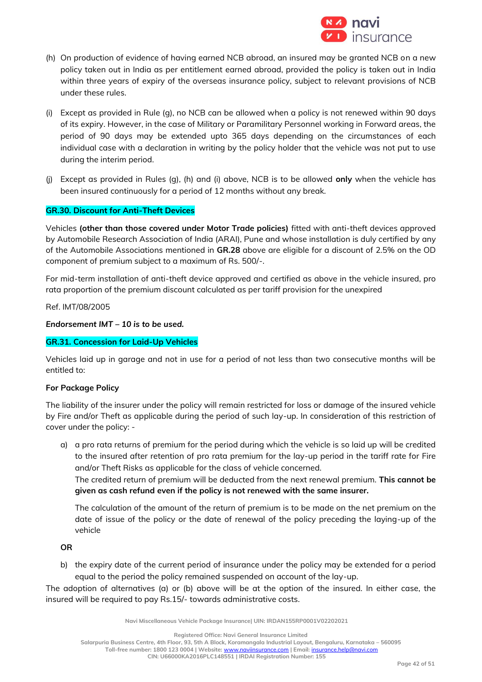

- (h) On production of evidence of having earned NCB abroad, an insured may be granted NCB on a new policy taken out in India as per entitlement earned abroad, provided the policy is taken out in India within three years of expiry of the overseas insurance policy, subject to relevant provisions of NCB under these rules.
- (i) Except as provided in Rule (g), no NCB can be allowed when a policy is not renewed within 90 days of its expiry. However, in the case of Military or Paramilitary Personnel working in Forward areas, the period of 90 days may be extended upto 365 days depending on the circumstances of each individual case with a declaration in writing by the policy holder that the vehicle was not put to use during the interim period.
- (j) Except as provided in Rules (g), (h) and (i) above, NCB is to be allowed **only** when the vehicle has been insured continuously for a period of 12 months without any break.

## **GR.30. Discount for Anti-Theft Devices**

Vehicles **(other than those covered under Motor Trade policies)** fitted with anti-theft devices approved by Automobile Research Association of India (ARAI), Pune and whose installation is duly certified by any of the Automobile Associations mentioned in **GR.28** above are eligible for a discount of 2.5% on the OD component of premium subject to a maximum of Rs. 500/-.

For mid-term installation of anti-theft device approved and certified as above in the vehicle insured, pro rata proportion of the premium discount calculated as per tariff provision for the unexpired

Ref. IMT/08/2005

*Endorsement IMT – 10 is to be used.*

## **GR.31. Concession for Laid-Up Vehicles**

Vehicles laid up in garage and not in use for a period of not less than two consecutive months will be entitled to:

## **For Package Policy**

The liability of the insurer under the policy will remain restricted for loss or damage of the insured vehicle by Fire and/or Theft as applicable during the period of such lay-up. In consideration of this restriction of cover under the policy: -

a) a pro rata returns of premium for the period during which the vehicle is so laid up will be credited to the insured after retention of pro rata premium for the lay-up period in the tariff rate for Fire and/or Theft Risks as applicable for the class of vehicle concerned.

The credited return of premium will be deducted from the next renewal premium. **This cannot be given as cash refund even if the policy is not renewed with the same insurer.**

The calculation of the amount of the return of premium is to be made on the net premium on the date of issue of the policy or the date of renewal of the policy preceding the laying-up of the vehicle

**OR**

b) the expiry date of the current period of insurance under the policy may be extended for a period equal to the period the policy remained suspended on account of the lay-up.

The adoption of alternatives (a) or (b) above will be at the option of the insured. In either case, the insured will be required to pay Rs.15/- towards administrative costs.

**Navi Miscellaneous Vehicle Package Insurance| UIN: IRDAN155RP0001V02202021**

**Registered Office: Navi General Insurance Limited**

**Salarpuria Business Centre, 4th Floor, 93, 5th A Block, Koramangala Industrial Layout, Bengaluru, Karnataka – 560095**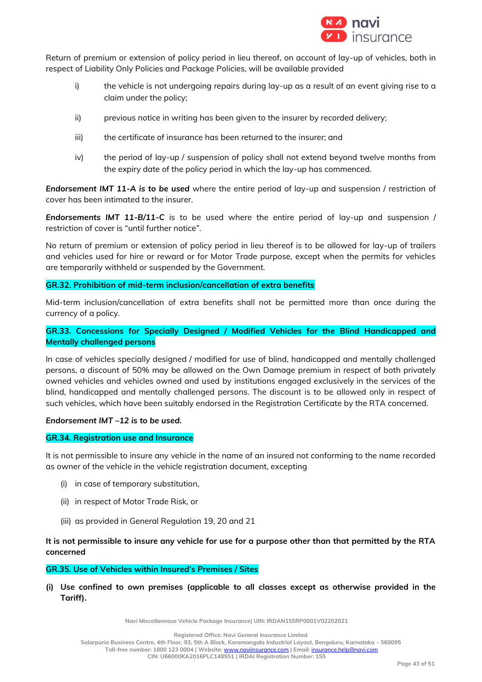

Return of premium or extension of policy period in lieu thereof, on account of lay-up of vehicles, both in respect of Liability Only Policies and Package Policies, will be available provided

- i) the vehicle is not undergoing repairs during lay-up as a result of an event giving rise to a claim under the policy;
- ii) previous notice in writing has been given to the insurer by recorded delivery;
- iii) the certificate of insurance has been returned to the insurer; and
- iv) the period of lay-up / suspension of policy shall not extend beyond twelve months from the expiry date of the policy period in which the lay-up has commenced.

*Endorsement IMT 11-A is to be used* where the entire period of lay-up and suspension / restriction of cover has been intimated to the insurer.

*Endorsements IMT 11-B/11-C* is to be used where the entire period of lay-up and suspension / restriction of cover is "until further notice".

No return of premium or extension of policy period in lieu thereof is to be allowed for lay-up of trailers and vehicles used for hire or reward or for Motor Trade purpose, except when the permits for vehicles are temporarily withheld or suspended by the Government.

## **GR.32. Prohibition of mid-term inclusion/cancellation of extra benefits**

Mid-term inclusion/cancellation of extra benefits shall not be permitted more than once during the currency of a policy.

## **GR.33. Concessions for Specially Designed / Modified Vehicles for the Blind Handicapped and Mentally challenged persons**

In case of vehicles specially designed / modified for use of blind, handicapped and mentally challenged persons, a discount of 50% may be allowed on the Own Damage premium in respect of both privately owned vehicles and vehicles owned and used by institutions engaged exclusively in the services of the blind, handicapped and mentally challenged persons. The discount is to be allowed only in respect of such vehicles, which have been suitably endorsed in the Registration Certificate by the RTA concerned.

## *Endorsement IMT –12 is to be used.*

## **GR.34. Registration use and Insurance**

It is not permissible to insure any vehicle in the name of an insured not conforming to the name recorded as owner of the vehicle in the vehicle registration document, excepting

- (i) in case of temporary substitution,
- (ii) in respect of Motor Trade Risk, or
- (iii) as provided in General Regulation 19, 20 and 21

## **It is not permissible to insure any vehicle for use for a purpose other than that permitted by the RTA concerned**

#### **GR.35. Use of Vehicles within Insured's Premises / Sites**

**(i) Use confined to own premises (applicable to all classes except as otherwise provided in the Tariff).**

**Navi Miscellaneous Vehicle Package Insurance| UIN: IRDAN155RP0001V02202021**

**Salarpuria Business Centre, 4th Floor, 93, 5th A Block, Koramangala Industrial Layout, Bengaluru, Karnataka – 560095**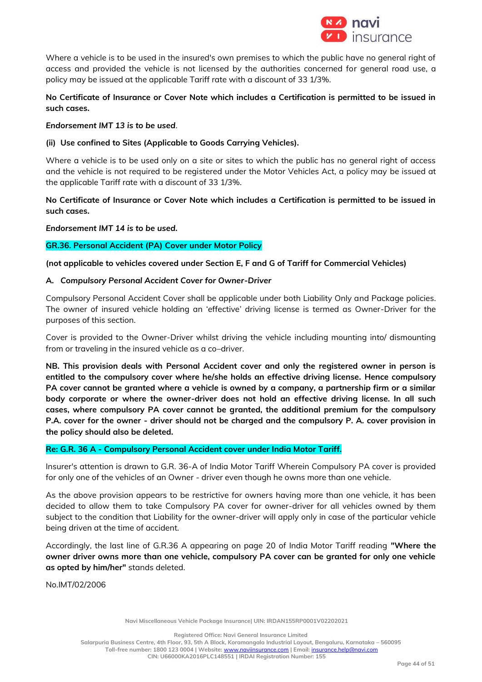

Where a vehicle is to be used in the insured's own premises to which the public have no general right of access and provided the vehicle is not licensed by the authorities concerned for general road use, a policy may be issued at the applicable Tariff rate with a discount of 33 1/3%.

## **No Certificate of Insurance or Cover Note which includes a Certification is permitted to be issued in such cases.**

### *Endorsement IMT 13 is to be used.*

### **(ii) Use confined to Sites (Applicable to Goods Carrying Vehicles).**

Where a vehicle is to be used only on a site or sites to which the public has no general right of access and the vehicle is not required to be registered under the Motor Vehicles Act, a policy may be issued at the applicable Tariff rate with a discount of 33 1/3%.

## **No Certificate of Insurance or Cover Note which includes a Certification is permitted to be issued in such cases.**

*Endorsement IMT 14 is to be used.*

## **GR.36. Personal Accident (PA) Cover under Motor Policy**

### **(not applicable to vehicles covered under Section E, F and G of Tariff for Commercial Vehicles)**

### **A.** *Compulsory Personal Accident Cover for Owner-Driver*

Compulsory Personal Accident Cover shall be applicable under both Liability Only and Package policies. The owner of insured vehicle holding an 'effective' driving license is termed as Owner-Driver for the purposes of this section.

Cover is provided to the Owner-Driver whilst driving the vehicle including mounting into/ dismounting from or traveling in the insured vehicle as a co–driver.

**NB. This provision deals with Personal Accident cover and only the registered owner in person is entitled to the compulsory cover where he/she holds an effective driving license. Hence compulsory PA cover cannot be granted where a vehicle is owned by a company, a partnership firm or a similar body corporate or where the owner-driver does not hold an effective driving license. In all such cases, where compulsory PA cover cannot be granted, the additional premium for the compulsory P.A. cover for the owner - driver should not be charged and the compulsory P. A. cover provision in the policy should also be deleted.** 

## **Re: G.R. 36 A - Compulsory Personal Accident cover under India Motor Tariff.**

Insurer's attention is drawn to G.R. 36-A of India Motor Tariff Wherein Compulsory PA cover is provided for only one of the vehicles of an Owner - driver even though he owns more than one vehicle.

As the above provision appears to be restrictive for owners having more than one vehicle, it has been decided to allow them to take Compulsory PA cover for owner-driver for all vehicles owned by them subject to the condition that Liability for the owner-driver will apply only in case of the particular vehicle being driven at the time of accident.

Accordingly, the last line of G.R.36 A appearing on page 20 of India Motor Tariff reading **"Where the owner driver owns more than one vehicle, compulsory PA cover can be granted for only one vehicle as opted by him/her"** stands deleted.

No.IMT/02/2006

**Registered Office: Navi General Insurance Limited**

**Salarpuria Business Centre, 4th Floor, 93, 5th A Block, Koramangala Industrial Layout, Bengaluru, Karnataka – 560095**

**Toll-free number: 1800 123 0004 | Website:** [www.naviinsurance.com](http://www.naviinsurance.com/) **| Email:** [insurance.help@navi.com](mailto:insurance.help@navi.com) **CIN: U66000KA2016PLC148551 | IRDAI Registration Number: 155**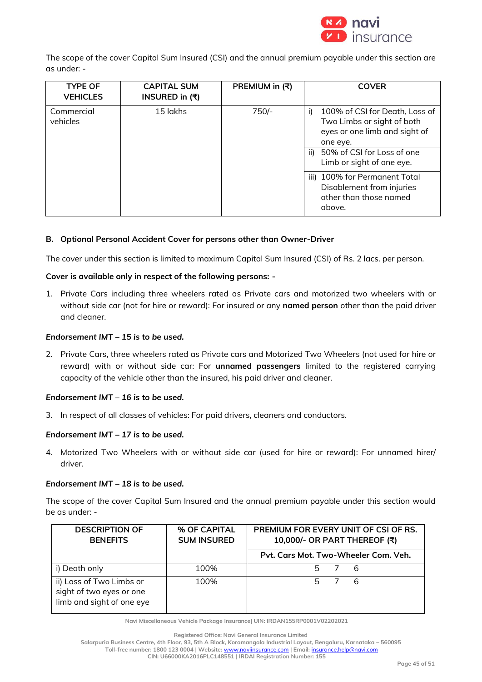

The scope of the cover Capital Sum Insured (CSI) and the annual premium payable under this section are as under: -

| <b>TYPE OF</b><br><b>VEHICLES</b> | <b>CAPITAL SUM</b><br>INSURED in (₹) | PREMIUM in (₹) | <b>COVER</b>                                                                                                                                                                   |
|-----------------------------------|--------------------------------------|----------------|--------------------------------------------------------------------------------------------------------------------------------------------------------------------------------|
| Commercial<br>vehicles            | 15 lakhs                             | $750/-$        | 100% of CSI for Death, Loss of<br>i)<br>Two Limbs or sight of both<br>eyes or one limb and sight of<br>one eye.<br>ii) 50% of CSI for Loss of one<br>Limb or sight of one eye. |
|                                   |                                      |                | iii) 100% for Permanent Total<br>Disablement from injuries<br>other than those named<br>above.                                                                                 |

## **B. Optional Personal Accident Cover for persons other than Owner-Driver**

The cover under this section is limited to maximum Capital Sum Insured (CSI) of Rs. 2 lacs. per person.

## **Cover is available only in respect of the following persons: -**

1. Private Cars including three wheelers rated as Private cars and motorized two wheelers with or without side car (not for hire or reward): For insured or any **named person** other than the paid driver and cleaner.

### *Endorsement IMT – 15 is to be used.*

2. Private Cars, three wheelers rated as Private cars and Motorized Two Wheelers (not used for hire or reward) with or without side car: For **unnamed passengers** limited to the registered carrying capacity of the vehicle other than the insured, his paid driver and cleaner.

## *Endorsement IMT – 16 is to be used.*

3. In respect of all classes of vehicles: For paid drivers, cleaners and conductors.

## *Endorsement IMT – 17 is to be used.*

4. Motorized Two Wheelers with or without side car (used for hire or reward): For unnamed hirer/ driver.

#### *Endorsement IMT – 18 is to be used.*

The scope of the cover Capital Sum Insured and the annual premium payable under this section would be as under: -

| <b>DESCRIPTION OF</b><br><b>BENEFITS</b>                                          | % OF CAPITAL<br><b>SUM INSURED</b> | PREMIUM FOR EVERY UNIT OF CSI OF RS.<br>10,000/- OR PART THEREOF (₹) |  |
|-----------------------------------------------------------------------------------|------------------------------------|----------------------------------------------------------------------|--|
|                                                                                   |                                    | Pvt. Cars Mot. Two-Wheeler Com. Veh.                                 |  |
| i) Death only                                                                     | 100%                               | 5 7 6                                                                |  |
| ii) Loss of Two Limbs or<br>sight of two eyes or one<br>limb and sight of one eye | 100%                               | 6<br>5.                                                              |  |

**Navi Miscellaneous Vehicle Package Insurance| UIN: IRDAN155RP0001V02202021**

**Registered Office: Navi General Insurance Limited**

**Toll-free number: 1800 123 0004 | Website:** [www.naviinsurance.com](http://www.naviinsurance.com/) **| Email:** [insurance.help@navi.com](mailto:insurance.help@navi.com)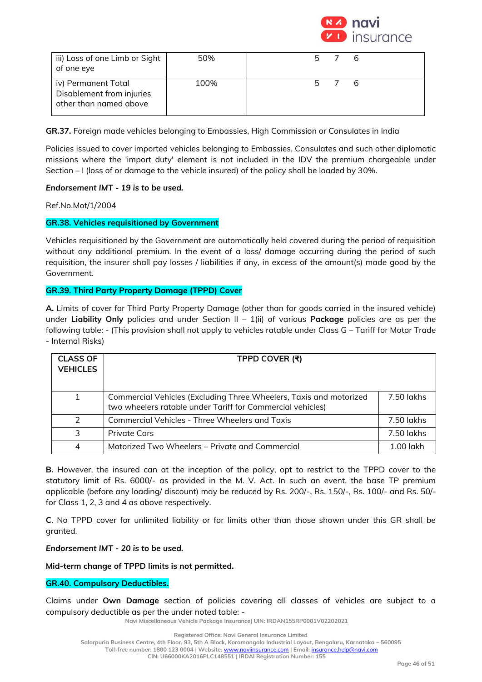

| iii) Loss of one Limb or Sight<br>of one eye                               | 50%  | 5 7   |
|----------------------------------------------------------------------------|------|-------|
| iv) Permanent Total<br>Disablement from injuries<br>other than named above | 100% | 5 7 6 |

**GR.37.** Foreign made vehicles belonging to Embassies, High Commission or Consulates in India

Policies issued to cover imported vehicles belonging to Embassies, Consulates and such other diplomatic missions where the 'import duty' element is not included in the IDV the premium chargeable under Section – I (loss of or damage to the vehicle insured) of the policy shall be loaded by 30%.

## *Endorsement IMT - 19 is to be used.*

Ref.No.Mot/1/2004

### **GR.38. Vehicles requisitioned by Government**

Vehicles requisitioned by the Government are automatically held covered during the period of requisition without any additional premium. In the event of a loss/ damage occurring during the period of such requisition, the insurer shall pay losses / liabilities if any, in excess of the amount(s) made good by the Government.

### **GR.39. Third Party Property Damage (TPPD) Cover**

**A.** Limits of cover for Third Party Property Damage (other than for goods carried in the insured vehicle) under **Liability Only** policies and under Section II – 1(ii) of various **Package** policies are as per the following table: - (This provision shall not apply to vehicles ratable under Class G – Tariff for Motor Trade - Internal Risks)

| <b>CLASS OF</b><br><b>VEHICLES</b> | TPPD COVER (₹)                                                                                                                   |             |
|------------------------------------|----------------------------------------------------------------------------------------------------------------------------------|-------------|
| $\mathbf{1}$                       | Commercial Vehicles (Excluding Three Wheelers, Taxis and motorized<br>two wheelers ratable under Tariff for Commercial vehicles) | 7.50 lakhs  |
| $\mathcal{P}$                      | <b>Commercial Vehicles - Three Wheelers and Taxis</b>                                                                            | 7.50 lakhs  |
| २                                  | <b>Private Cars</b>                                                                                                              | 7.50 lakhs  |
| 4                                  | Motorized Two Wheelers – Private and Commercial                                                                                  | $1.00$ lakh |

**B.** However, the insured can at the inception of the policy, opt to restrict to the TPPD cover to the statutory limit of Rs. 6000/- as provided in the M. V. Act. In such an event, the base TP premium applicable (before any loading/ discount) may be reduced by Rs. 200/-, Rs. 150/-, Rs. 100/- and Rs. 50/ for Class 1, 2, 3 and 4 as above respectively.

**C**. No TPPD cover for unlimited liability or for limits other than those shown under this GR shall be granted.

*Endorsement IMT - 20 is to be used.*

**Mid-term change of TPPD limits is not permitted.** 

## **GR.40. Compulsory Deductibles.**

Claims under **Own Damage** section of policies covering all classes of vehicles are subject to a compulsory deductible as per the under noted table: -

**Navi Miscellaneous Vehicle Package Insurance| UIN: IRDAN155RP0001V02202021**

**Registered Office: Navi General Insurance Limited**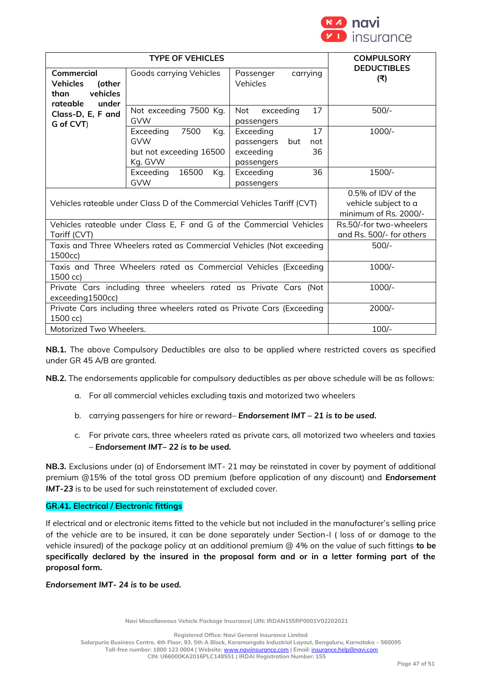

| <b>TYPE OF VEHICLES</b>                                                              |                                                                              |                                                                              | <b>COMPULSORY</b>                                                   |
|--------------------------------------------------------------------------------------|------------------------------------------------------------------------------|------------------------------------------------------------------------------|---------------------------------------------------------------------|
| Commercial<br><b>Vehicles</b><br>(other<br>vehicles<br>than<br>rateable<br>under     | Goods carrying Vehicles                                                      | carrying<br>Passenger<br>Vehicles                                            | <b>DEDUCTIBLES</b><br>(₹)                                           |
| Class-D, E, F and<br>G of CVT)                                                       | Not exceeding 7500 Kg.<br><b>GVW</b>                                         | 17<br>Not<br>exceeding<br>passengers                                         | $500/-$                                                             |
|                                                                                      | Exceeding<br>7500<br>Kq.<br><b>GVW</b><br>but not exceeding 16500<br>Kg. GVW | Exceeding<br>17<br>passengers<br>but<br>not<br>exceeding<br>36<br>passengers | $1000/-$                                                            |
|                                                                                      | Exceeding<br>16500<br>Kq.<br><b>GVW</b>                                      | 36<br>Exceeding<br>passengers                                                | 1500/-                                                              |
| Vehicles rateable under Class D of the Commercial Vehicles Tariff (CVT)              |                                                                              |                                                                              | 0.5% of IDV of the<br>vehicle subject to a<br>minimum of Rs. 2000/- |
| Vehicles rateable under Class E, F and G of the Commercial Vehicles<br>Tariff (CVT)  |                                                                              |                                                                              | Rs.50/-for two-wheelers<br>and Rs. 500/- for others                 |
| Taxis and Three Wheelers rated as Commercial Vehicles (Not exceeding<br>1500cc)      |                                                                              |                                                                              | $500/-$                                                             |
| Taxis and Three Wheelers rated as Commercial Vehicles (Exceeding<br>1500 cc)         |                                                                              |                                                                              | $1000/-$                                                            |
| Private Cars including three wheelers rated as Private Cars (Not<br>exceeding1500cc) |                                                                              |                                                                              | $1000/-$                                                            |
| Private Cars including three wheelers rated as Private Cars (Exceeding<br>1500 cc)   |                                                                              |                                                                              | $2000/-$                                                            |
| Motorized Two Wheelers.                                                              |                                                                              |                                                                              | $100/-$                                                             |

**NB.1.** The above Compulsory Deductibles are also to be applied where restricted covers as specified under GR 45 A/B are granted.

**NB.2.** The endorsements applicable for compulsory deductibles as per above schedule will be as follows:

- a. For all commercial vehicles excluding taxis and motorized two wheelers
- b. carrying passengers for hire or reward– *Endorsement IMT – 21 is to be used.*
- c. For private cars, three wheelers rated as private cars, all motorized two wheelers and taxies – *Endorsement IMT– 22 is to be used.*

**NB.3.** Exclusions under (a) of Endorsement IMT- 21 may be reinstated in cover by payment of additional premium @15% of the total gross OD premium (before application of any discount) and *Endorsement IMT-23* is to be used for such reinstatement of excluded cover.

## **GR.41. Electrical / Electronic fittings**

If electrical and or electronic items fitted to the vehicle but not included in the manufacturer's selling price of the vehicle are to be insured, it can be done separately under Section-I ( loss of or damage to the vehicle insured) of the package policy at an additional premium @ 4% on the value of such fittings **to be specifically declared by the insured in the proposal form and or in a letter forming part of the proposal form.**

### *Endorsement IMT- 24 is to be used.*

**Navi Miscellaneous Vehicle Package Insurance| UIN: IRDAN155RP0001V02202021**

**Registered Office: Navi General Insurance Limited**

**Salarpuria Business Centre, 4th Floor, 93, 5th A Block, Koramangala Industrial Layout, Bengaluru, Karnataka – 560095**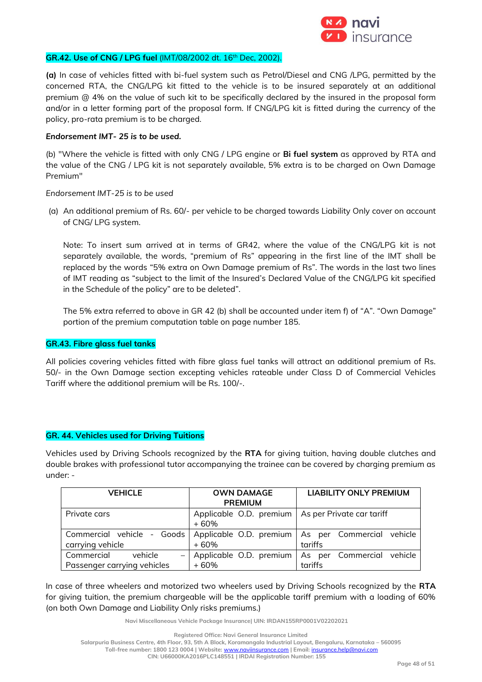

## **GR.42. Use of CNG / LPG fuel** (IMT/08/2002 dt. 16th Dec, 2002).

**(a)** In case of vehicles fitted with bi-fuel system such as Petrol/Diesel and CNG /LPG, permitted by the concerned RTA, the CNG/LPG kit fitted to the vehicle is to be insured separately at an additional premium @ 4% on the value of such kit to be specifically declared by the insured in the proposal form and/or in a letter forming part of the proposal form. If CNG/LPG kit is fitted during the currency of the policy, pro-rata premium is to be charged.

#### *Endorsement IMT- 25 is to be used.*

(b) "Where the vehicle is fitted with only CNG / LPG engine or **Bi fuel system** as approved by RTA and the value of the CNG / LPG kit is not separately available, 5% extra is to be charged on Own Damage Premium"

#### *Endorsement IMT-25 is to be used*

(a) An additional premium of Rs. 60/- per vehicle to be charged towards Liability Only cover on account of CNG/ LPG system.

Note: To insert sum arrived at in terms of GR42, where the value of the CNG/LPG kit is not separately available, the words, "premium of Rs" appearing in the first line of the IMT shall be replaced by the words "5% extra on Own Damage premium of Rs". The words in the last two lines of IMT reading as "subject to the limit of the Insured's Declared Value of the CNG/LPG kit specified in the Schedule of the policy" are to be deleted".

The 5% extra referred to above in GR 42 (b) shall be accounted under item f) of "A". "Own Damage" portion of the premium computation table on page number 185.

#### **GR.43. Fibre glass fuel tanks**

All policies covering vehicles fitted with fibre glass fuel tanks will attract an additional premium of Rs. 50/- in the Own Damage section excepting vehicles rateable under Class D of Commercial Vehicles Tariff where the additional premium will be Rs. 100/-.

#### **GR. 44. Vehicles used for Driving Tuitions**

Vehicles used by Driving Schools recognized by the **RTA** for giving tuition, having double clutches and double brakes with professional tutor accompanying the trainee can be covered by charging premium as under: -

| <b>VEHICLE</b>                                                                   | <b>OWN DAMAGE</b>       | <b>LIABILITY ONLY PREMIUM</b>                       |  |
|----------------------------------------------------------------------------------|-------------------------|-----------------------------------------------------|--|
|                                                                                  | <b>PREMIUM</b>          |                                                     |  |
| Private cars                                                                     | Applicable O.D. premium | As per Private car tariff                           |  |
|                                                                                  | + 60%                   |                                                     |  |
| Commercial vehicle - Goods   Applicable O.D. premium   As per Commercial vehicle |                         |                                                     |  |
| carrying vehicle                                                                 | + 60%                   | tariffs                                             |  |
| Commercial<br>vehicle                                                            |                         | Applicable O.D. premium   As per Commercial vehicle |  |
| Passenger carrying vehicles                                                      | + 60%                   | tariffs                                             |  |

In case of three wheelers and motorized two wheelers used by Driving Schools recognized by the **RTA** for giving tuition, the premium chargeable will be the applicable tariff premium with a loading of 60% (on both Own Damage and Liability Only risks premiums.)

**Navi Miscellaneous Vehicle Package Insurance| UIN: IRDAN155RP0001V02202021**

**Registered Office: Navi General Insurance Limited**

**Salarpuria Business Centre, 4th Floor, 93, 5th A Block, Koramangala Industrial Layout, Bengaluru, Karnataka – 560095**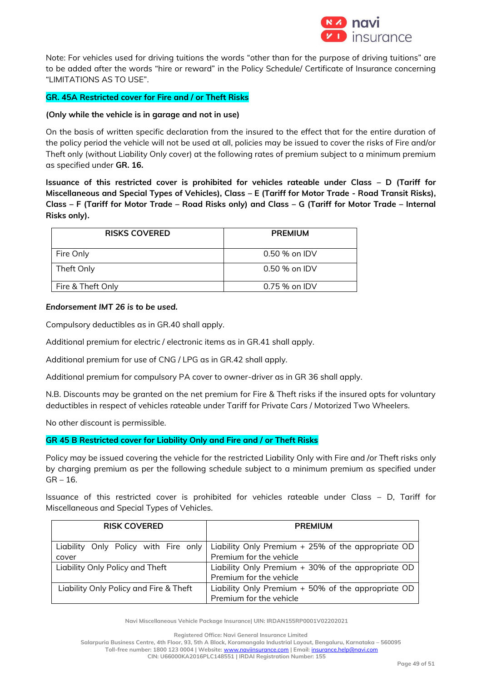

Note: For vehicles used for driving tuitions the words "other than for the purpose of driving tuitions" are to be added after the words "hire or reward" in the Policy Schedule/ Certificate of Insurance concerning "LIMITATIONS AS TO USE".

## **GR. 45A Restricted cover for Fire and / or Theft Risks**

### **(Only while the vehicle is in garage and not in use)**

On the basis of written specific declaration from the insured to the effect that for the entire duration of the policy period the vehicle will not be used at all, policies may be issued to cover the risks of Fire and/or Theft only (without Liability Only cover) at the following rates of premium subject to a minimum premium as specified under **GR. 16.**

**Issuance of this restricted cover is prohibited for vehicles rateable under Class – D (Tariff for Miscellaneous and Special Types of Vehicles), Class – E (Tariff for Motor Trade - Road Transit Risks), Class – F (Tariff for Motor Trade – Road Risks only) and Class – G (Tariff for Motor Trade – Internal Risks only).**

| <b>RISKS COVERED</b> | <b>PREMIUM</b>  |
|----------------------|-----------------|
| Fire Only            | $0.50$ % on IDV |
| Theft Only           | $0.50$ % on IDV |
| Fire & Theft Only    | $0.75%$ on IDV  |

#### *Endorsement IMT 26 is to be used.*

Compulsory deductibles as in GR.40 shall apply.

Additional premium for electric / electronic items as in GR.41 shall apply.

Additional premium for use of CNG / LPG as in GR.42 shall apply.

Additional premium for compulsory PA cover to owner-driver as in GR 36 shall apply.

N.B. Discounts may be granted on the net premium for Fire & Theft risks if the insured opts for voluntary deductibles in respect of vehicles rateable under Tariff for Private Cars / Motorized Two Wheelers.

No other discount is permissible.

#### **GR 45 B Restricted cover for Liability Only and Fire and / or Theft Risks**

Policy may be issued covering the vehicle for the restricted Liability Only with Fire and /or Theft risks only by charging premium as per the following schedule subject to a minimum premium as specified under  $GR - 16.$ 

Issuance of this restricted cover is prohibited for vehicles rateable under Class – D, Tariff for Miscellaneous and Special Types of Vehicles.

| <b>RISK COVERED</b>                    | <b>PREMIUM</b>                                     |  |
|----------------------------------------|----------------------------------------------------|--|
|                                        |                                                    |  |
| Liability Only Policy with Fire only   | Liability Only Premium + 25% of the appropriate OD |  |
| cover                                  | Premium for the vehicle                            |  |
| Liability Only Policy and Theft        | Liability Only Premium + 30% of the appropriate OD |  |
|                                        | Premium for the vehicle                            |  |
| Liability Only Policy and Fire & Theft | Liability Only Premium + 50% of the appropriate OD |  |
|                                        | Premium for the vehicle                            |  |

**Navi Miscellaneous Vehicle Package Insurance| UIN: IRDAN155RP0001V02202021**

**Registered Office: Navi General Insurance Limited**

**Salarpuria Business Centre, 4th Floor, 93, 5th A Block, Koramangala Industrial Layout, Bengaluru, Karnataka – 560095**

**Toll-free number: 1800 123 0004 | Website:** [www.naviinsurance.com](http://www.naviinsurance.com/) **| Email:** [insurance.help@navi.com](mailto:insurance.help@navi.com)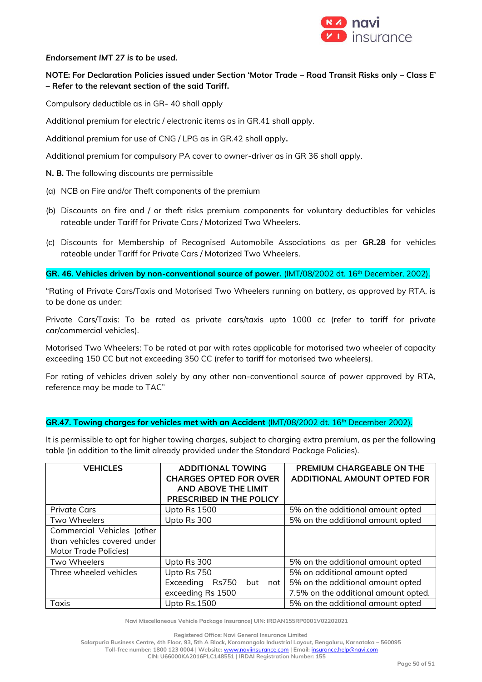

### *Endorsement IMT 27 is to be used.*

## **NOTE: For Declaration Policies issued under Section 'Motor Trade – Road Transit Risks only – Class E' – Refer to the relevant section of the said Tariff.**

Compulsory deductible as in GR- 40 shall apply

Additional premium for electric / electronic items as in GR.41 shall apply.

Additional premium for use of CNG / LPG as in GR.42 shall apply**.**

Additional premium for compulsory PA cover to owner-driver as in GR 36 shall apply.

- **N. B.** The following discounts are permissible
- (a) NCB on Fire and/or Theft components of the premium
- (b) Discounts on fire and / or theft risks premium components for voluntary deductibles for vehicles rateable under Tariff for Private Cars / Motorized Two Wheelers.
- (c) Discounts for Membership of Recognised Automobile Associations as per **GR.28** for vehicles rateable under Tariff for Private Cars / Motorized Two Wheelers.

GR. 46. Vehicles driven by non-conventional source of power. (IMT/08/2002 dt. 16<sup>th</sup> December, 2002).

"Rating of Private Cars/Taxis and Motorised Two Wheelers running on battery, as approved by RTA, is to be done as under:

Private Cars/Taxis: To be rated as private cars/taxis upto 1000 cc (refer to tariff for private car/commercial vehicles).

Motorised Two Wheelers: To be rated at par with rates applicable for motorised two wheeler of capacity exceeding 150 CC but not exceeding 350 CC (refer to tariff for motorised two wheelers).

For rating of vehicles driven solely by any other non-conventional source of power approved by RTA, reference may be made to TAC"

## **GR.47. Towing charges for vehicles met with an Accident** (IMT/08/2002 dt. 16th December 2002).

It is permissible to opt for higher towing charges, subject to charging extra premium, as per the following table (in addition to the limit already provided under the Standard Package Policies).

| <b>VEHICLES</b>             | <b>ADDITIONAL TOWING</b><br><b>CHARGES OPTED FOR OVER</b><br>AND ABOVE THE LIMIT<br>PRESCRIBED IN THE POLICY | PREMIUM CHARGEABLE ON THE<br>ADDITIONAL AMOUNT OPTED FOR |
|-----------------------------|--------------------------------------------------------------------------------------------------------------|----------------------------------------------------------|
| <b>Private Cars</b>         | Upto Rs 1500                                                                                                 | 5% on the additional amount opted                        |
| Two Wheelers                | Upto Rs 300                                                                                                  | 5% on the additional amount opted                        |
| Commercial Vehicles (other  |                                                                                                              |                                                          |
| than vehicles covered under |                                                                                                              |                                                          |
| Motor Trade Policies)       |                                                                                                              |                                                          |
| Two Wheelers                | Upto Rs 300                                                                                                  | 5% on the additional amount opted                        |
| Three wheeled vehicles      | Upto Rs 750                                                                                                  | 5% on additional amount opted                            |
|                             | Exceeding<br>Rs750<br>but<br>not                                                                             | 5% on the additional amount opted                        |
|                             | exceeding Rs 1500                                                                                            | 7.5% on the additional amount opted.                     |
| Upto Rs.1500<br>Taxis       |                                                                                                              | 5% on the additional amount opted                        |

**Navi Miscellaneous Vehicle Package Insurance| UIN: IRDAN155RP0001V02202021**

**Registered Office: Navi General Insurance Limited**

**Salarpuria Business Centre, 4th Floor, 93, 5th A Block, Koramangala Industrial Layout, Bengaluru, Karnataka – 560095**

**Toll-free number: 1800 123 0004 | Website:** [www.naviinsurance.com](http://www.naviinsurance.com/) **| Email:** [insurance.help@navi.com](mailto:insurance.help@navi.com)